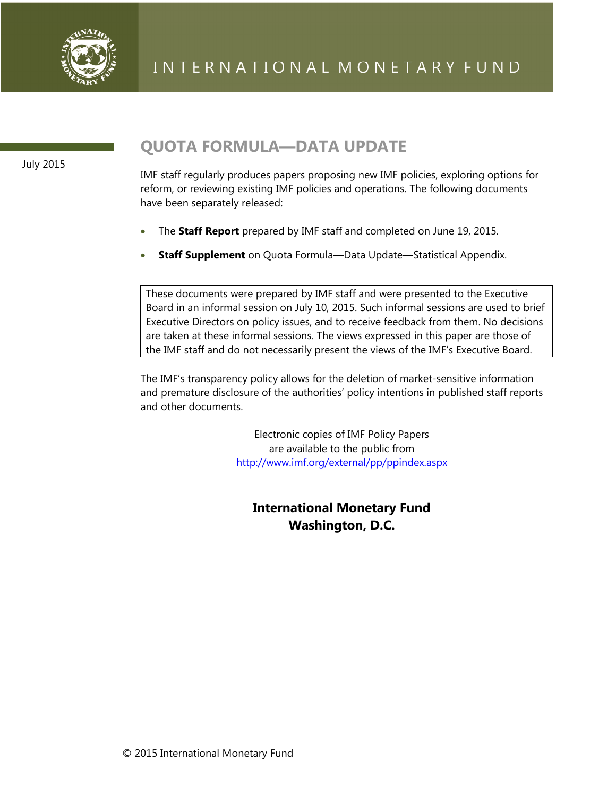

July 2015

# **QUOTA FORMULA—DATA UPDATE**

IMF staff regularly produces papers proposing new IMF policies, exploring options for reform, or reviewing existing IMF policies and operations. The following documents have been separately released:

- The **Staff Report** prepared by IMF staff and completed on June 19, 2015.
- **Staff Supplement** on Quota Formula—Data Update—Statistical Appendix.

These documents were prepared by IMF staff and were presented to the Executive Board in an informal session on July 10, 2015. Such informal sessions are used to brief Executive Directors on policy issues, and to receive feedback from them. No decisions are taken at these informal sessions. The views expressed in this paper are those of the IMF staff and do not necessarily present the views of the IMF's Executive Board.

The IMF's transparency policy allows for the deletion of market-sensitive information and premature disclosure of the authorities' policy intentions in published staff reports and other documents.

> Electronic copies of IMF Policy Papers are available to the public from http://www.imf.org/external/pp/ppindex.aspx

**International Monetary Fund Washington, D.C.**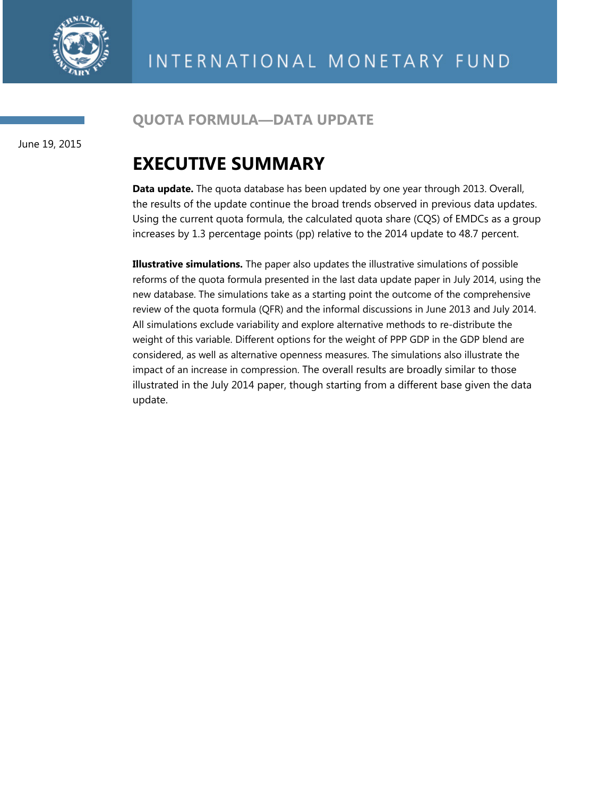

# **QUOTA FORMULA—DATA UPDATE**

June 19, 2015

# **EXECUTIVE SUMMARY**

**Data update.** The quota database has been updated by one year through 2013. Overall, the results of the update continue the broad trends observed in previous data updates. Using the current quota formula, the calculated quota share (CQS) of EMDCs as a group increases by 1.3 percentage points (pp) relative to the 2014 update to 48.7 percent.

**Illustrative simulations.** The paper also updates the illustrative simulations of possible reforms of the quota formula presented in the last data update paper in July 2014, using the new database. The simulations take as a starting point the outcome of the comprehensive review of the quota formula (QFR) and the informal discussions in June 2013 and July 2014. All simulations exclude variability and explore alternative methods to re-distribute the weight of this variable. Different options for the weight of PPP GDP in the GDP blend are considered, as well as alternative openness measures. The simulations also illustrate the impact of an increase in compression. The overall results are broadly similar to those illustrated in the July 2014 paper, though starting from a different base given the data update.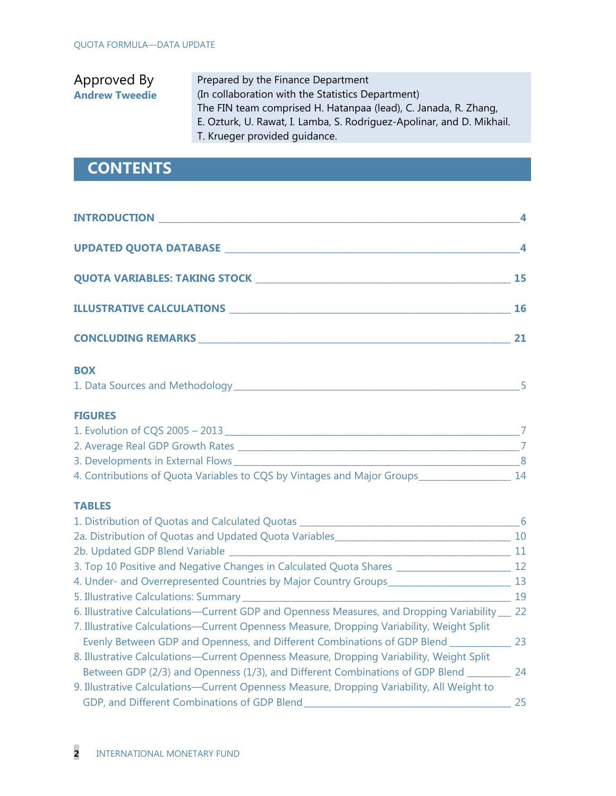| Prepared by the Finance Department                                    |
|-----------------------------------------------------------------------|
| (In collaboration with the Statistics Department)                     |
| The FIN team comprised H. Hatanpaa (lead), C. Janada, R. Zhang,       |
| E. Ozturk, U. Rawat, I. Lamba, S. Rodriguez-Apolinar, and D. Mikhail. |
|                                                                       |
|                                                                       |

# **CONTENTS**

| UPDATED QUOTA DATABASE NEWSFILM AND THE RESERVE TO A RESERVE THE RESERVE TO A REPORT OF THE RESERVE TO A REPORT OF THE RESERVE TO A REPORT OF THE RESERVE TO A REPORT OF THE REPORT OF THE RESERVE TO A REPORT OF THE REPORT O |    |
|--------------------------------------------------------------------------------------------------------------------------------------------------------------------------------------------------------------------------------|----|
|                                                                                                                                                                                                                                | 15 |
|                                                                                                                                                                                                                                | 16 |
| <b>CONCLUDING REMARKS CONCLUDING REMARKS</b>                                                                                                                                                                                   |    |

### **BOX**

| 1. Data Sources and Methodology |  |
|---------------------------------|--|
|---------------------------------|--|

#### **FIGURES**

| 1. Evolution of CQS 2005 - 2013                                         |    |
|-------------------------------------------------------------------------|----|
| 2. Average Real GDP Growth Rates                                        |    |
| 3. Developments in External Flows                                       |    |
| 4. Contributions of Quota Variables to CQS by Vintages and Major Groups | 14 |

#### **TABLES**

| 1. Distribution of Quotas and Calculated Quotas ____                                           | -6  |
|------------------------------------------------------------------------------------------------|-----|
| 2a. Distribution of Quotas and Updated Quota Variables                                         | 10  |
| 2b. Updated GDP Blend Variable                                                                 | 11  |
| 3. Top 10 Positive and Negative Changes in Calculated Quota Shares ______                      | 12  |
| 4. Under- and Overrepresented Countries by Major Country Groups_                               | -13 |
| 5. Illustrative Calculations: Summary ________                                                 | 19  |
| 6. Illustrative Calculations-Current GDP and Openness Measures, and Dropping Variability __ 22 |     |
| 7. Illustrative Calculations—Current Openness Measure, Dropping Variability, Weight Split      |     |
| Evenly Between GDP and Openness, and Different Combinations of GDP Blend ________              | 23  |
| 8. Illustrative Calculations—Current Openness Measure, Dropping Variability, Weight Split      |     |
| Between GDP (2/3) and Openness (1/3), and Different Combinations of GDP Blend ____             | 24  |
| 9. Illustrative Calculations—Current Openness Measure, Dropping Variability, All Weight to     |     |
| GDP, and Different Combinations of GDP Blend                                                   | 25  |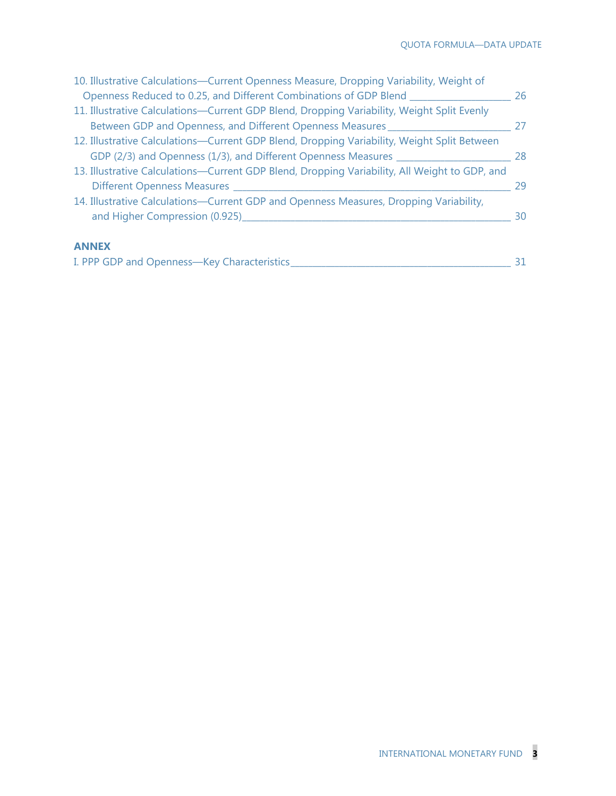| 10. Illustrative Calculations-Current Openness Measure, Dropping Variability, Weight of       |    |
|-----------------------------------------------------------------------------------------------|----|
| Openness Reduced to 0.25, and Different Combinations of GDP Blend ____                        | 26 |
| 11. Illustrative Calculations-Current GDP Blend, Dropping Variability, Weight Split Evenly    |    |
| Between GDP and Openness, and Different Openness Measures ___________                         | 27 |
| 12. Illustrative Calculations—Current GDP Blend, Dropping Variability, Weight Split Between   |    |
| GDP (2/3) and Openness (1/3), and Different Openness Measures __________________              | 28 |
| 13. Illustrative Calculations-Current GDP Blend, Dropping Variability, All Weight to GDP, and |    |
|                                                                                               | 29 |
| 14. Illustrative Calculations-Current GDP and Openness Measures, Dropping Variability,        |    |
| and Higher Compression (0.925)_____                                                           | 30 |
| <b>ANNEX</b>                                                                                  |    |
| I. PPP GDP and Openness-Key Characteristics                                                   | 31 |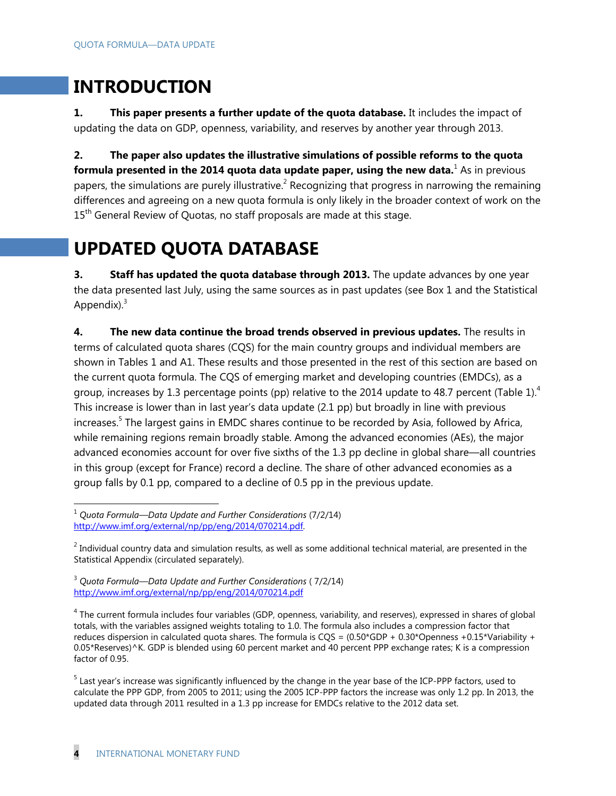# **INTRODUCTION**

**1. This paper presents a further update of the quota database.** It includes the impact of updating the data on GDP, openness, variability, and reserves by another year through 2013.

**2. The paper also updates the illustrative simulations of possible reforms to the quota formula presented in the 2014 quota data update paper, using the new data.** As in previous papers, the simulations are purely illustrative.<sup>2</sup> Recognizing that progress in narrowing the remaining differences and agreeing on a new quota formula is only likely in the broader context of work on the 15<sup>th</sup> General Review of Quotas, no staff proposals are made at this stage.

# **UPDATED QUOTA DATABASE**

**3.** Staff has updated the quota database through 2013. The update advances by one year the data presented last July, using the same sources as in past updates (see Box 1 and the Statistical Appendix). $3$ 

**4. The new data continue the broad trends observed in previous updates.** The results in terms of calculated quota shares (CQS) for the main country groups and individual members are shown in Tables 1 and A1. These results and those presented in the rest of this section are based on the current quota formula. The CQS of emerging market and developing countries (EMDCs), as a group, increases by 1.3 percentage points (pp) relative to the 2014 update to 48.7 percent (Table 1).<sup>4</sup> This increase is lower than in last year's data update (2.1 pp) but broadly in line with previous increases.<sup>5</sup> The largest gains in EMDC shares continue to be recorded by Asia, followed by Africa, while remaining regions remain broadly stable. Among the advanced economies (AEs), the major advanced economies account for over five sixths of the 1.3 pp decline in global share—all countries in this group (except for France) record a decline. The share of other advanced economies as a group falls by 0.1 pp, compared to a decline of 0.5 pp in the previous update.

-

<sup>1</sup> *Quota Formula—Data Update and Further Considerations* (7/2/14) http://www.imf.org/external/np/pp/eng/2014/070214.pdf.

 $^2$  Individual country data and simulation results, as well as some additional technical material, are presented in the Statistical Appendix (circulated separately).

<sup>3</sup> *Quota Formula—Data Update and Further Considerations* ( 7/2/14) http://www.imf.org/external/np/pp/eng/2014/070214.pdf

<sup>&</sup>lt;sup>4</sup> The current formula includes four variables (GDP, openness, variability, and reserves), expressed in shares of global totals, with the variables assigned weights totaling to 1.0. The formula also includes a compression factor that reduces dispersion in calculated quota shares. The formula is CQS =  $(0.50*GDP + 0.30*Opennes + 0.15*Variability +$ 0.05\*Reserves)^K. GDP is blended using 60 percent market and 40 percent PPP exchange rates; K is a compression factor of 0.95.

<sup>&</sup>lt;sup>5</sup> Last year's increase was significantly influenced by the change in the year base of the ICP-PPP factors, used to calculate the PPP GDP, from 2005 to 2011; using the 2005 ICP-PPP factors the increase was only 1.2 pp. In 2013, the updated data through 2011 resulted in a 1.3 pp increase for EMDCs relative to the 2012 data set.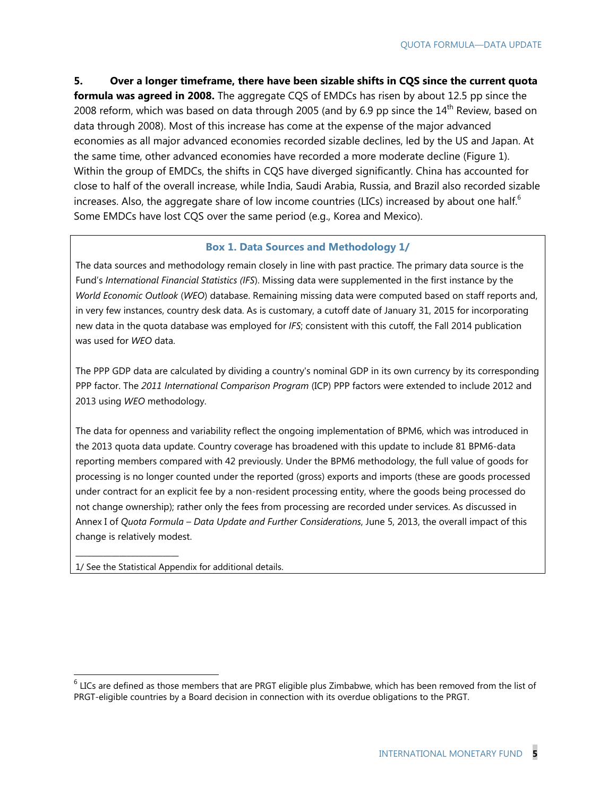**5. Over a longer timeframe, there have been sizable shifts in CQS since the current quota** 

**formula was agreed in 2008.** The aggregate CQS of EMDCs has risen by about 12.5 pp since the 2008 reform, which was based on data through 2005 (and by 6.9 pp since the  $14<sup>th</sup>$  Review, based on data through 2008). Most of this increase has come at the expense of the major advanced economies as all major advanced economies recorded sizable declines, led by the US and Japan. At the same time, other advanced economies have recorded a more moderate decline (Figure 1). Within the group of EMDCs, the shifts in CQS have diverged significantly. China has accounted for close to half of the overall increase, while India, Saudi Arabia, Russia, and Brazil also recorded sizable increases. Also, the aggregate share of low income countries (LICs) increased by about one half.<sup>6</sup> Some EMDCs have lost CQS over the same period (e.g., Korea and Mexico).

#### **Box 1. Data Sources and Methodology 1/**

The data sources and methodology remain closely in line with past practice. The primary data source is the Fund's *International Financial Statistics (IFS*). Missing data were supplemented in the first instance by the *World Economic Outlook* (*WEO*) database. Remaining missing data were computed based on staff reports and, in very few instances, country desk data. As is customary, a cutoff date of January 31, 2015 for incorporating new data in the quota database was employed for *IFS*; consistent with this cutoff, the Fall 2014 publication was used for *WEO* data.

The PPP GDP data are calculated by dividing a country's nominal GDP in its own currency by its corresponding PPP factor. The *2011 International Comparison Program* (ICP) PPP factors were extended to include 2012 and 2013 using *WEO* methodology.

The data for openness and variability reflect the ongoing implementation of BPM6, which was introduced in the 2013 quota data update. Country coverage has broadened with this update to include 81 BPM6-data reporting members compared with 42 previously. Under the BPM6 methodology, the full value of goods for processing is no longer counted under the reported (gross) exports and imports (these are goods processed under contract for an explicit fee by a non-resident processing entity, where the goods being processed do not change ownership); rather only the fees from processing are recorded under services. As discussed in Annex I of *Quota Formula – Data Update and Further Considerations*, June 5, 2013, the overall impact of this change is relatively modest.

1/ See the Statistical Appendix for additional details.

\_\_\_\_\_\_\_\_\_\_\_\_\_\_\_\_\_\_\_\_\_\_\_\_\_\_

-

 $^6$  LICs are defined as those members that are PRGT eligible plus Zimbabwe, which has been removed from the list of PRGT-eligible countries by a Board decision in connection with its overdue obligations to the PRGT.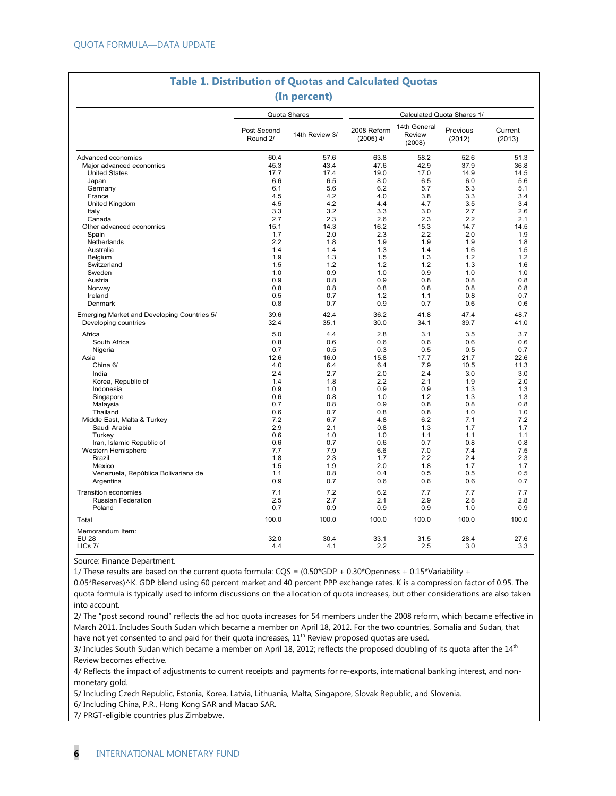|                                                                     |                         | (In percent)   |                            |                                  |                            |                   |
|---------------------------------------------------------------------|-------------------------|----------------|----------------------------|----------------------------------|----------------------------|-------------------|
|                                                                     |                         | Quota Shares   |                            |                                  | Calculated Quota Shares 1/ |                   |
|                                                                     | Post Second<br>Round 2/ | 14th Review 3/ | 2008 Reform<br>$(2005)$ 4/ | 14th General<br>Review<br>(2008) | Previous<br>(2012)         | Current<br>(2013) |
| Advanced economies                                                  | 60.4                    | 57.6           | 63.8                       | 58.2                             | 52.6                       | 51.3              |
| Major advanced economies                                            | 45.3                    | 43.4           | 47.6                       | 42.9                             | 37.9                       | 36.8              |
| <b>United States</b>                                                | 17.7                    | 17.4           | 19.0                       | 17.0                             | 14.9                       | 14.5              |
| Japan                                                               | 6.6                     | 6.5            | 8.0                        | 6.5                              | 6.0                        | 5.6               |
| Germany                                                             | 6.1                     | 5.6            | 6.2                        | 5.7                              | 5.3                        | 5.1               |
| France                                                              | 4.5                     | 4.2            | 4.0                        | 3.8                              | 3.3                        | 3.4               |
| United Kingdom                                                      | 4.5                     | 4.2            | 4.4                        | 4.7                              | 3.5                        | 3.4               |
| Italy                                                               | 3.3                     | 3.2            | 3.3                        | 3.0                              | 2.7                        | 2.6               |
| Canada                                                              | 2.7                     | 2.3            | 2.6                        | 2.3                              | 2.2                        | 2.1               |
| Other advanced economies                                            | 15.1                    | 14.3           | 16.2                       | 15.3                             | 14.7                       | 14.5              |
| Spain                                                               | 1.7                     | 2.0            | 2.3                        | 2.2                              | 2.0                        | 1.9               |
| Netherlands                                                         | 2.2                     | 1.8            | 1.9                        | 1.9                              | 1.9                        | 1.8               |
| Australia                                                           | 1.4                     | 1.4            | 1.3                        | 1.4                              | 1.6                        | 1.5               |
| Belgium                                                             | 1.9                     | 1.3            | 1.5                        | 1.3                              | 1.2                        | 1.2               |
| Switzerland                                                         | 1.5                     | 1.2            | 1.2                        | 1.2                              | 1.3                        | 1.6               |
| Sweden                                                              | 1.0                     | 0.9            | 1.0                        | 0.9                              | 1.0                        | 1.0               |
| Austria                                                             | 0.9                     | 0.8            | 0.9                        | 0.8                              | 0.8                        | 0.8               |
| Norway                                                              | 0.8                     | 0.8            | 0.8                        | 0.8                              | 0.8                        | 0.8               |
| Ireland                                                             | 0.5                     | 0.7            | 1.2                        | 1.1                              | 0.8                        | 0.7               |
| Denmark                                                             | 0.8                     | 0.7            | 0.9                        | 0.7                              | 0.6                        | 0.6               |
| Emerging Market and Developing Countries 5/<br>Developing countries | 39.6<br>32.4            | 42.4<br>35.1   | 36.2<br>30.0               | 41.8<br>34.1                     | 47.4<br>39.7               | 48.7<br>41.0      |
| Africa                                                              | 5.0                     | 4.4            | 2.8                        | 3.1                              | 3.5                        | 3.7               |
| South Africa                                                        | 0.8                     | 0.6            | 0.6                        | 0.6                              | 0.6                        | 0.6               |
| Nigeria                                                             | 0.7                     | 0.5            | 0.3                        | 0.5                              | 0.5                        | 0.7               |
| Asia                                                                | 12.6                    | 16.0           | 15.8                       | 17.7                             | 21.7                       | 22.6              |
| China 6/                                                            | 4.0                     | 6.4            | 6.4                        | 7.9                              | 10.5                       | 11.3              |
| India                                                               | 2.4                     | 2.7            | 2.0                        | 2.4                              | 3.0                        | 3.0               |
| Korea, Republic of                                                  | 1.4                     | 1.8            | 2.2                        | 2.1                              | 1.9                        | 2.0               |
| Indonesia                                                           | 0.9                     | 1.0            | 0.9                        | 0.9                              | 1.3                        | 1.3               |
| Singapore                                                           | 0.6                     | 0.8            | 1.0                        | 1.2                              | 1.3                        | 1.3               |
| Malaysia                                                            | 0.7                     | 0.8            | 0.9                        | 0.8                              | 0.8                        | 0.8               |
| Thailand                                                            | 0.6                     | 0.7            | 0.8                        | 0.8                              | 1.0                        | 1.0               |
| Middle East, Malta & Turkey                                         | 7.2                     | 6.7            | 4.8                        | 6.2                              | 7.1                        | 7.2               |
| Saudi Arabia                                                        | 2.9                     | 2.1            | 0.8                        | 1.3                              | 1.7                        | 1.7               |
| Turkev                                                              | 0.6                     | 1.0            | 1.0                        | 1.1                              | 1.1                        | 1.1               |
| Iran, Islamic Republic of                                           | 0.6                     | 0.7            | 0.6                        | 0.7                              | 0.8                        | 0.8               |
| Western Hemisphere                                                  | 7.7                     | 7.9            | 6.6                        | 7.0                              | 7.4                        | 7.5               |
| Brazil                                                              | 1.8                     | 2.3            | 1.7                        | 2.2                              | 2.4                        | 2.3               |
| Mexico                                                              | 1.5                     | 1.9            | 2.0                        | 1.8                              | 1.7                        | 1.7               |
| Venezuela, República Bolivariana de                                 | 1.1                     | 0.8            | 0.4                        | 0.5                              | 0.5                        | 0.5               |
| Argentina                                                           | 0.9                     | 0.7            | 0.6                        | 0.6                              | 0.6                        | 0.7               |
|                                                                     |                         |                |                            |                                  |                            |                   |
| <b>Transition economies</b>                                         | 7.1                     | 7.2            | 6.2                        | 7.7                              | 7.7                        | 7.7               |
| <b>Russian Federation</b>                                           | 2.5                     | 2.7            | 2.1                        | 2.9                              | 2.8                        | 2.8               |
| Poland                                                              | 0.7                     | 0.9            | 0.9                        | 0.9                              | 1.0                        | 0.9               |
| Total                                                               | 100.0                   | 100.0          | 100.0                      | 100.0                            | 100.0                      | 100.0             |
| Memorandum Item:                                                    |                         |                |                            |                                  |                            |                   |
| <b>EU 28</b><br>LICS 7/                                             | 32.0<br>4.4             | 30.4<br>4.1    | 33.1<br>2.2                | 31.5<br>2.5                      | 28.4<br>3.0                | 27.6<br>3.3       |
|                                                                     |                         |                |                            |                                  |                            |                   |

# **Table 1. Distribution of Quotas and Calculated Quotas**

Source: Finance Department.

1/ These results are based on the current quota formula:  $CQS = (0.50*GDP + 0.30*Opennes + 0.15*Variability +$ 

0.05\*Reserves)^K. GDP blend using 60 percent market and 40 percent PPP exchange rates. K is a compression factor of 0.95. The quota formula is typically used to inform discussions on the allocation of quota increases, but other considerations are also taken into account.

2/ The "post second round" reflects the ad hoc quota increases for 54 members under the 2008 reform, which became effective in March 2011. Includes South Sudan which became a member on April 18, 2012. For the two countries, Somalia and Sudan, that have not yet consented to and paid for their quota increases,  $11<sup>th</sup>$  Review proposed quotas are used.

3/ Includes South Sudan which became a member on April 18, 2012; reflects the proposed doubling of its quota after the 14<sup>th</sup> Review becomes effective.

4/ Reflects the impact of adjustments to current receipts and payments for re-exports, international banking interest, and nonmonetary gold.

5/ Including Czech Republic, Estonia, Korea, Latvia, Lithuania, Malta, Singapore, Slovak Republic, and Slovenia. 6/ Including China, P.R., Hong Kong SAR and Macao SAR.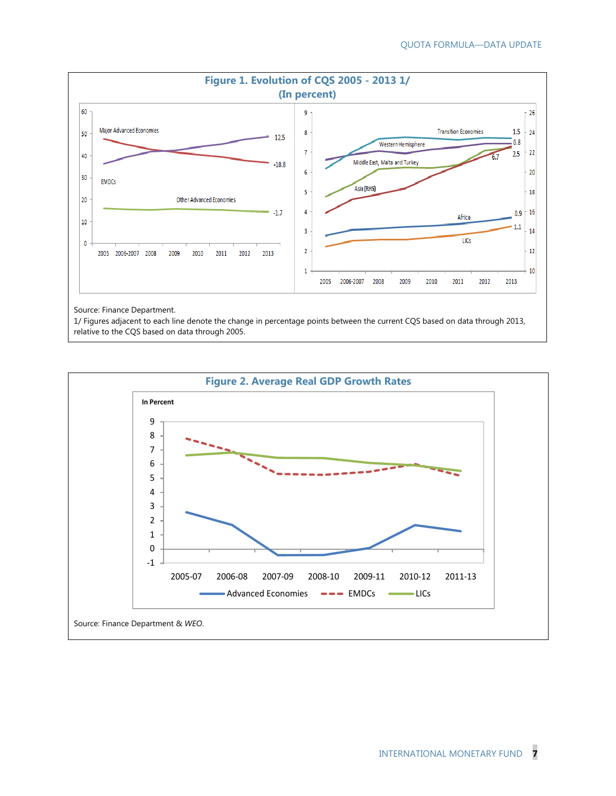

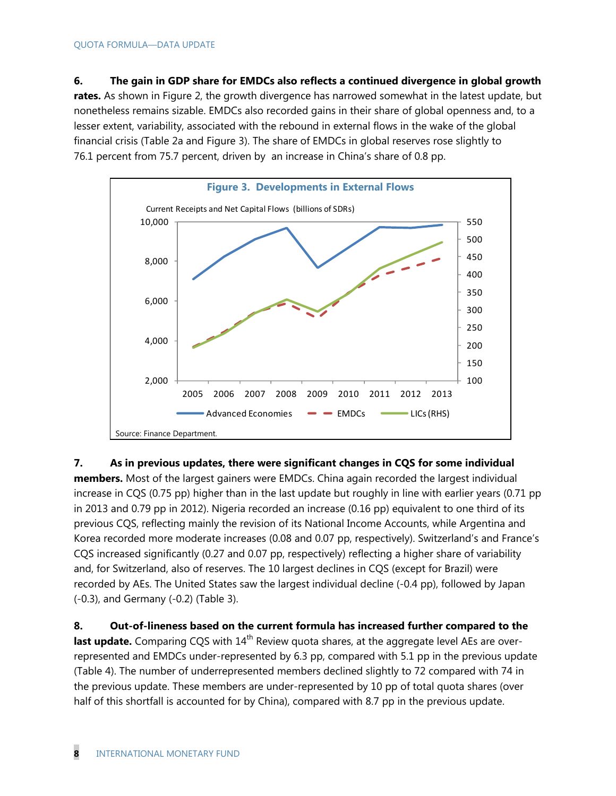**6. The gain in GDP share for EMDCs also reflects a continued divergence in global growth rates.** As shown in Figure 2, the growth divergence has narrowed somewhat in the latest update, but nonetheless remains sizable. EMDCs also recorded gains in their share of global openness and, to a lesser extent, variability, associated with the rebound in external flows in the wake of the global financial crisis (Table 2a and Figure 3). The share of EMDCs in global reserves rose slightly to 76.1 percent from 75.7 percent, driven by an increase in China's share of 0.8 pp.



**7. As in previous updates, there were significant changes in CQS for some individual members.** Most of the largest gainers were EMDCs. China again recorded the largest individual increase in CQS (0.75 pp) higher than in the last update but roughly in line with earlier years (0.71 pp in 2013 and 0.79 pp in 2012). Nigeria recorded an increase (0.16 pp) equivalent to one third of its previous CQS, reflecting mainly the revision of its National Income Accounts, while Argentina and Korea recorded more moderate increases (0.08 and 0.07 pp, respectively). Switzerland's and France's CQS increased significantly (0.27 and 0.07 pp, respectively) reflecting a higher share of variability and, for Switzerland, also of reserves. The 10 largest declines in CQS (except for Brazil) were recorded by AEs. The United States saw the largest individual decline (-0.4 pp), followed by Japan (-0.3), and Germany (-0.2) (Table 3).

**8. Out-of-lineness based on the current formula has increased further compared to the last update.** Comparing CQS with 14<sup>th</sup> Review quota shares, at the aggregate level AEs are overrepresented and EMDCs under-represented by 6.3 pp, compared with 5.1 pp in the previous update (Table 4). The number of underrepresented members declined slightly to 72 compared with 74 in the previous update. These members are under-represented by 10 pp of total quota shares (over half of this shortfall is accounted for by China), compared with 8.7 pp in the previous update.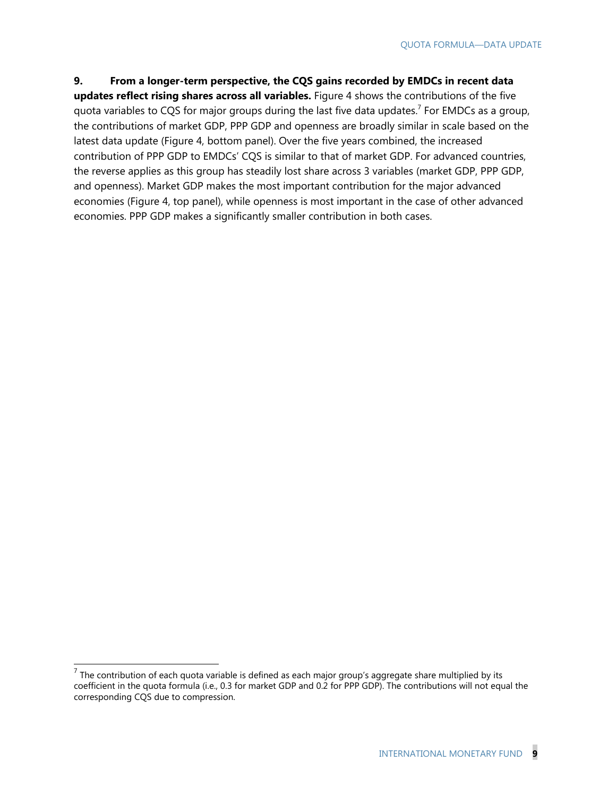#### **9. From a longer-term perspective, the CQS gains recorded by EMDCs in recent data**

**updates reflect rising shares across all variables.** Figure 4 shows the contributions of the five quota variables to CQS for major groups during the last five data updates.<sup>7</sup> For EMDCs as a group, the contributions of market GDP, PPP GDP and openness are broadly similar in scale based on the latest data update (Figure 4, bottom panel). Over the five years combined, the increased contribution of PPP GDP to EMDCs' CQS is similar to that of market GDP. For advanced countries, the reverse applies as this group has steadily lost share across 3 variables (market GDP, PPP GDP, and openness). Market GDP makes the most important contribution for the major advanced economies (Figure 4, top panel), while openness is most important in the case of other advanced economies. PPP GDP makes a significantly smaller contribution in both cases.

 7 The contribution of each quota variable is defined as each major group's aggregate share multiplied by its coefficient in the quota formula (i.e., 0.3 for market GDP and 0.2 for PPP GDP). The contributions will not equal the corresponding CQS due to compression.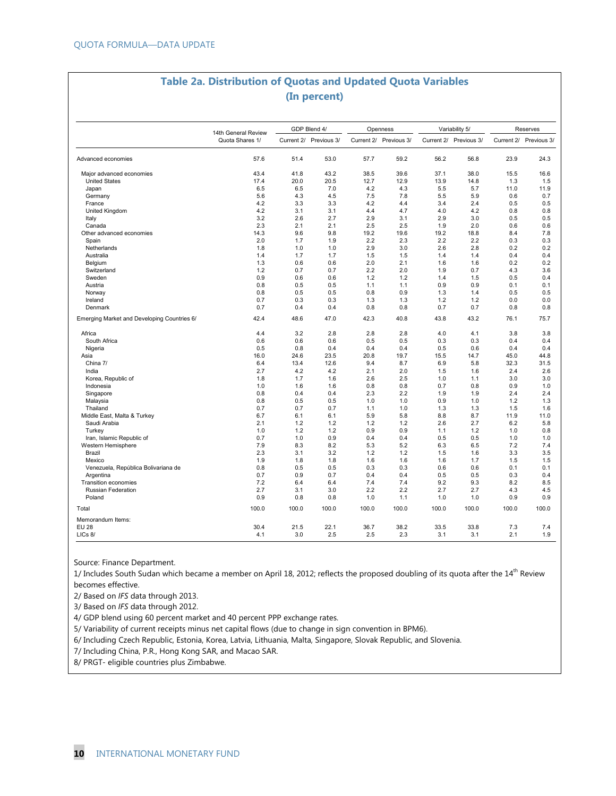### **Table 2a. Distribution of Quotas and Updated Quota Variables (In percent)**

|                                             | 14th General Review |       | GDP Blend 4/           |       | Openness               |       | Variability 5/         | Reserves |                        |  |
|---------------------------------------------|---------------------|-------|------------------------|-------|------------------------|-------|------------------------|----------|------------------------|--|
|                                             | Quota Shares 1/     |       | Current 2/ Previous 3/ |       | Current 2/ Previous 3/ |       | Current 2/ Previous 3/ |          | Current 2/ Previous 3/ |  |
| Advanced economies                          | 57.6                | 51.4  | 53.0                   | 57.7  | 59.2                   | 56.2  | 56.8                   | 23.9     | 24.3                   |  |
| Major advanced economies                    | 43.4                | 41.8  | 43.2                   | 38.5  | 39.6                   | 37.1  | 38.0                   | 15.5     | 16.6                   |  |
| <b>United States</b>                        | 17.4                | 20.0  | 20.5                   | 12.7  | 12.9                   | 13.9  | 14.8                   | 1.3      | 1.5                    |  |
| Japan                                       | 6.5                 | 6.5   | 7.0                    | 4.2   | 4.3                    | 5.5   | 5.7                    | 11.0     | 11.9                   |  |
| Germany                                     | 5.6                 | 4.3   | 4.5                    | 7.5   | 7.8                    | 5.5   | 5.9                    | 0.6      | 0.7                    |  |
| France                                      | 4.2                 | 3.3   | 3.3                    | 4.2   | 4.4                    | 3.4   | 2.4                    | 0.5      | 0.5                    |  |
| United Kingdom                              | 4.2                 | 3.1   | 3.1                    | 4.4   | 4.7                    | 4.0   | 4.2                    | 0.8      | 0.8                    |  |
| Italy                                       | 3.2                 | 2.6   | 2.7                    | 2.9   | 3.1                    | 2.9   | 3.0                    | 0.5      | 0.5                    |  |
| Canada                                      | 2.3                 | 2.1   | 2.1                    | 2.5   | 2.5                    | 1.9   | 2.0                    | 0.6      | 0.6                    |  |
| Other advanced economies                    | 14.3                | 9.6   | 9.8                    | 19.2  | 19.6                   | 19.2  | 18.8                   | 8.4      | 7.8                    |  |
| Spain                                       | 2.0                 | 1.7   | 1.9                    | 2.2   | 2.3                    | 2.2   | 2.2                    | 0.3      | 0.3                    |  |
| Netherlands                                 | 1.8                 | 1.0   | 1.0                    | 2.9   | 3.0                    | 2.6   | 2.8                    | 0.2      | 0.2                    |  |
| Australia                                   | 1.4                 | 1.7   | 1.7                    | 1.5   | 1.5                    | 1.4   | 1.4                    | 0.4      | 0.4                    |  |
| Belgium                                     | 1.3                 | 0.6   | 0.6                    | 2.0   | 2.1                    | 1.6   | 1.6                    | 0.2      | 0.2                    |  |
| Switzerland                                 | 1.2                 | 0.7   | 0.7                    | 2.2   | 2.0                    | 1.9   | 0.7                    | 4.3      | 3.6                    |  |
| Sweden                                      | 0.9                 | 0.6   | 0.6                    | 1.2   | 1.2                    | 1.4   | 1.5                    | 0.5      | 0.4                    |  |
| Austria                                     | 0.8                 | 0.5   | 0.5                    | 1.1   | 1.1                    | 0.9   | 0.9                    | 0.1      | 0.1                    |  |
| Norway                                      | 0.8                 | 0.5   | 0.5                    | 0.8   | 0.9                    | 1.3   | 1.4                    | 0.5      | 0.5                    |  |
| Ireland                                     | 0.7                 | 0.3   | 0.3                    | 1.3   | 1.3                    | 1.2   | 1.2                    | 0.0      | 0.0                    |  |
| Denmark                                     | 0.7                 | 0.4   | 0.4                    | 0.8   | 0.8                    | 0.7   | 0.7                    | 0.8      | 0.8                    |  |
| Emerging Market and Developing Countries 6/ | 42.4                | 48.6  | 47.0                   | 42.3  | 40.8                   | 43.8  | 43.2                   | 76.1     | 75.7                   |  |
| Africa                                      | 4.4                 | 3.2   | 2.8                    | 2.8   | 2.8                    | 4.0   | 4.1                    | 3.8      | 3.8                    |  |
| South Africa                                | 0.6                 | 0.6   | 0.6                    | 0.5   | 0.5                    | 0.3   | 0.3                    | 0.4      | 0.4                    |  |
| Nigeria                                     | 0.5                 | 0.8   | 0.4                    | 0.4   | 0.4                    | 0.5   | 0.6                    | 0.4      | 0.4                    |  |
| Asia                                        | 16.0                | 24.6  | 23.5                   | 20.8  | 19.7                   | 15.5  | 14.7                   | 45.0     | 44.8                   |  |
| China 7/                                    | 6.4                 | 13.4  | 12.6                   | 9.4   | 8.7                    | 6.9   | 5.8                    | 32.3     | 31.5                   |  |
| India                                       | 2.7                 | 4.2   | 4.2                    | 2.1   | 2.0                    | 1.5   | 1.6                    | 2.4      | 2.6                    |  |
| Korea, Republic of                          | 1.8                 | 1.7   | 1.6                    | 2.6   | 2.5                    | 1.0   | 1.1                    | 3.0      | 3.0                    |  |
| Indonesia                                   | 1.0                 | 1.6   | 1.6                    | 0.8   | 0.8                    | 0.7   | 0.8                    | 0.9      | 1.0                    |  |
| Singapore                                   | 0.8                 | 0.4   | 0.4                    | 2.3   | 2.2                    | 1.9   | 1.9                    | 2.4      | 2.4                    |  |
| Malaysia                                    | 0.8                 | 0.5   | 0.5                    | 1.0   | 1.0                    | 0.9   | 1.0                    | 1.2      | 1.3                    |  |
| Thailand                                    | 0.7                 | 0.7   | 0.7                    | 1.1   | 1.0                    | 1.3   | 1.3                    | 1.5      | 1.6                    |  |
| Middle East, Malta & Turkey                 | 6.7                 | 6.1   | 6.1                    | 5.9   | 5.8                    | 8.8   | 8.7                    | 11.9     | 11.0                   |  |
| Saudi Arabia                                | 2.1                 | 1.2   | 1.2                    | 1.2   | 1.2                    | 2.6   | 2.7                    | 6.2      | 5.8                    |  |
| Turkey                                      | 1.0                 | 1.2   | 1.2                    | 0.9   | 0.9                    | 1.1   | 1.2                    | 1.0      | 0.8                    |  |
| Iran, Islamic Republic of                   | 0.7                 | 1.0   | 0.9                    | 0.4   | 0.4                    | 0.5   | 0.5                    | 1.0      | 1.0                    |  |
| Western Hemisphere                          | 7.9                 | 8.3   | 8.2                    | 5.3   | 5.2                    | 6.3   | 6.5                    | 7.2      | 7.4                    |  |
| Brazil                                      | 2.3                 | 3.1   | 3.2                    | 1.2   | 1.2                    | 1.5   | 1.6                    | 3.3      | 3.5                    |  |
| Mexico                                      | 1.9                 | 1.8   | 1.8                    | 1.6   | 1.6                    | 1.6   | 1.7                    | 1.5      | 1.5                    |  |
| Venezuela, República Bolivariana de         | 0.8                 | 0.5   | 0.5                    | 0.3   | 0.3                    | 0.6   | 0.6                    | 0.1      | 0.1                    |  |
| Argentina                                   | 0.7                 | 0.9   | 0.7                    | 0.4   | 0.4                    | 0.5   | 0.5                    | 0.3      | 0.4                    |  |
| Transition economies                        | 7.2                 | 6.4   | 6.4                    | 7.4   | 7.4                    | 9.2   | 9.3                    | 8.2      | 8.5                    |  |
| <b>Russian Federation</b>                   | 2.7                 | 3.1   | 3.0                    | 2.2   | 2.2                    | 2.7   | 2.7                    | 4.3      | 4.5                    |  |
| Poland                                      | 0.9                 | 0.8   | 0.8                    | 1.0   | 1.1                    | 1.0   | 1.0                    | 0.9      | 0.9                    |  |
| Total                                       | 100.0               | 100.0 | 100.0                  | 100.0 | 100.0                  | 100.0 | 100.0                  | 100.0    | 100.0                  |  |
| Memorandum Items:                           |                     |       |                        |       |                        |       |                        |          |                        |  |
| <b>EU 28</b>                                | 30.4                | 21.5  | 22.1                   | 36.7  | 38.2                   | 33.5  | 33.8                   | 7.3      | 7.4                    |  |
| $LICs$ $8/$                                 | 4.1                 | 3.0   | 2.5                    | 2.5   | 2.3                    | 3.1   | 3.1                    | 2.1      | 1.9                    |  |

Source: Finance Department.

1/ Includes South Sudan which became a member on April 18, 2012; reflects the proposed doubling of its quota after the  $14<sup>th</sup>$  Review becomes effective.

2/ Based on *IFS* data through 2013.

3/ Based on *IFS* data through 2012.

4/ GDP blend using 60 percent market and 40 percent PPP exchange rates.

5/ Variability of current receipts minus net capital flows (due to change in sign convention in BPM6).

6/ Including Czech Republic, Estonia, Korea, Latvia, Lithuania, Malta, Singapore, Slovak Republic, and Slovenia.

7/ Including China, P.R., Hong Kong SAR, and Macao SAR.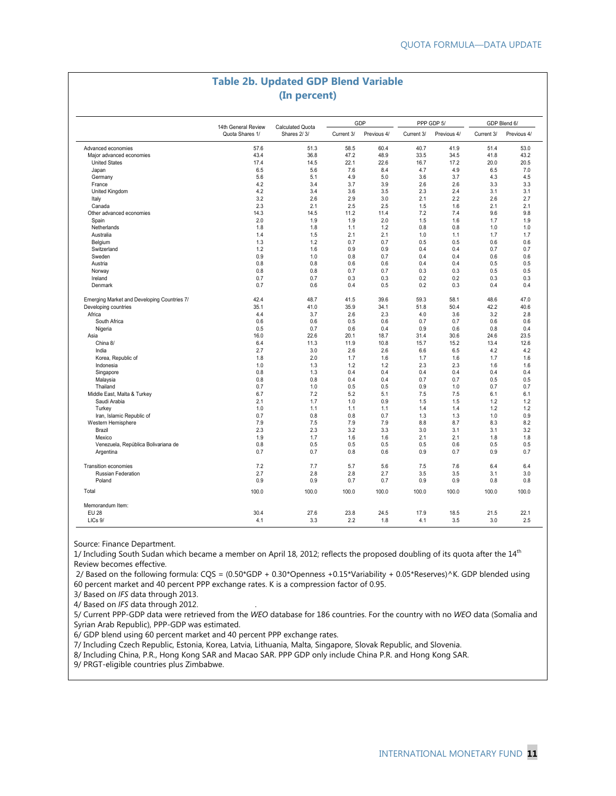#### **Table 2b. Updated GDP Blend Variable (In percent)**

| Advanced economies<br>Major advanced economies<br><b>United States</b><br>Japan<br>Germany<br>France | 14th General Review<br>Quota Shares 1/<br>57.6<br>43.4<br>17.4<br>6.5 | <b>Calculated Quota</b><br>Shares 2/3/<br>51.3<br>36.8 | Current 3/<br>58.5 | Previous 4/ | Current 3/ | Previous 4/ | Current 3/ | Previous 4/  |
|------------------------------------------------------------------------------------------------------|-----------------------------------------------------------------------|--------------------------------------------------------|--------------------|-------------|------------|-------------|------------|--------------|
|                                                                                                      |                                                                       |                                                        |                    |             |            |             |            |              |
|                                                                                                      |                                                                       |                                                        |                    | 60.4        | 40.7       | 41.9        | 51.4       | 53.0         |
|                                                                                                      |                                                                       |                                                        | 47.2               | 48.9        | 33.5       | 34.5        | 41.8       | 43.2         |
|                                                                                                      |                                                                       | 14.5                                                   | 22.1               | 22.6        | 16.7       | 17.2        | 20.0       | 20.5         |
|                                                                                                      |                                                                       | 5.6                                                    | 7.6                | 8.4         | 4.7        | 4.9         | 6.5        | 7.0          |
|                                                                                                      | 5.6                                                                   | 5.1                                                    | 4.9                | 5.0         | 3.6        | 3.7         | 4.3        | 4.5          |
|                                                                                                      | 4.2                                                                   | 3.4                                                    | 3.7                | 3.9         | 2.6        | 2.6         | 3.3        | 3.3          |
| United Kingdom                                                                                       | 4.2                                                                   | 3.4                                                    | 3.6                | 3.5         | 2.3        | 2.4         | 3.1        | 3.1          |
| Italy                                                                                                | 3.2                                                                   | 2.6                                                    | 2.9                | 3.0         | 2.1        | 2.2         | 2.6        | 2.7          |
| Canada                                                                                               | 2.3                                                                   | 2.1                                                    | 2.5                | 2.5         | 1.5        | 1.6         | 2.1        | 2.1          |
| Other advanced economies                                                                             | 14.3                                                                  | 14.5                                                   | 11.2               | 11.4        | 7.2        | 7.4         | 9.6        | 9.8          |
| Spain                                                                                                | 2.0                                                                   | 1.9                                                    | 1.9                | 2.0         | 1.5        | 1.6         | 1.7        | 1.9          |
| Netherlands                                                                                          | 1.8                                                                   | 1.8                                                    |                    | 1.2         | 0.8        | 0.8         |            | 1.0          |
|                                                                                                      |                                                                       |                                                        | 1.1                |             |            |             | 1.0        |              |
| Australia                                                                                            | 1.4                                                                   | 1.5                                                    | 2.1                | 2.1         | 1.0        | 1.1         | 1.7        | 1.7          |
| Belgium                                                                                              | 1.3                                                                   | 1.2                                                    | 0.7                | 0.7         | 0.5        | 0.5         | 0.6        | 0.6          |
| Switzerland                                                                                          | 1.2                                                                   | 1.6                                                    | 0.9                | 0.9         | 0.4        | 0.4         | 0.7        | 0.7          |
| Sweden                                                                                               | 0.9                                                                   | 1.0                                                    | 0.8                | 0.7         | 0.4        | 0.4         | 0.6        | 0.6          |
| Austria                                                                                              | 0.8                                                                   | 0.8                                                    | 0.6                | 0.6         | 0.4        | 0.4         | 0.5        | 0.5          |
| Norway                                                                                               | 0.8                                                                   | 0.8                                                    | 0.7                | 0.7         | 0.3        | 0.3         | 0.5        | 0.5          |
| Ireland                                                                                              | 0.7                                                                   | 0.7                                                    | 0.3                | 0.3         | 0.2        | 0.2         | 0.3        | 0.3          |
| Denmark                                                                                              | 0.7                                                                   | 0.6                                                    | 0.4                | 0.5         | 0.2        | 0.3         | 0.4        | 0.4          |
| Emerging Market and Developing Countries 7/                                                          | 42.4                                                                  | 48.7                                                   | 41.5               | 39.6        | 59.3       | 58.1        | 48.6       | 47.0         |
| Developing countries                                                                                 | 35.1                                                                  | 41.0                                                   | 35.9               | 34.1        | 51.8       | 50.4        | 42.2       | 40.6         |
| Africa                                                                                               | 4.4                                                                   | 3.7                                                    | 2.6                | 2.3         | 4.0        | 3.6         | 3.2        | 2.8          |
| South Africa                                                                                         | 0.6                                                                   | 0.6                                                    | 0.5                | 0.6         | 0.7        | 0.7         | 0.6        | 0.6          |
| Nigeria                                                                                              | 0.5                                                                   | 0.7                                                    | 0.6                | 0.4         | 0.9        | 0.6         | 0.8        | 0.4          |
| Asia                                                                                                 | 16.0                                                                  | 22.6                                                   | 20.1               | 18.7        | 31.4       | 30.6        | 24.6       | 23.5         |
| China 8/                                                                                             | 6.4                                                                   | 11.3                                                   | 11.9               | 10.8        | 15.7       | 15.2        | 13.4       | 12.6         |
| India                                                                                                | 2.7                                                                   | 3.0                                                    | 2.6                | 2.6         | 6.6        | 6.5         | 4.2        | 4.2          |
| Korea, Republic of                                                                                   | 1.8                                                                   | 2.0                                                    | 1.7                | 1.6         | 1.7        | 1.6         | 1.7        | 1.6          |
| Indonesia                                                                                            | 1.0                                                                   | 1.3                                                    | 1.2                | 1.2         | 2.3        | 2.3         | 1.6        | 1.6          |
| Singapore                                                                                            | 0.8                                                                   | 1.3                                                    | 0.4                | 0.4         | 0.4        | 0.4         | 0.4        | 0.4          |
| Malaysia                                                                                             | 0.8                                                                   | 0.8                                                    | 0.4                | 0.4         | 0.7        | 0.7         | 0.5        | 0.5          |
| Thailand                                                                                             | 0.7                                                                   | 1.0                                                    | 0.5                | 0.5         | 0.9        | 1.0         | 0.7        | 0.7          |
| Middle East, Malta & Turkey                                                                          | 6.7                                                                   | 7.2                                                    | 5.2                | 5.1         | 7.5        | 7.5         | 6.1        | 6.1          |
| Saudi Arabia                                                                                         | 2.1                                                                   | 1.7                                                    | 1.0                | 0.9         | 1.5        | 1.5         | 1.2        | 1.2          |
| Turkey                                                                                               | 1.0                                                                   | 1.1                                                    | 1.1                | 1.1         | 1.4        | 1.4         | 1.2        | 1.2          |
|                                                                                                      |                                                                       |                                                        |                    |             |            |             |            |              |
| Iran, Islamic Republic of                                                                            | 0.7                                                                   | 0.8                                                    | 0.8                | 0.7         | 1.3        | 1.3         | 1.0        | 0.9          |
| Western Hemisphere                                                                                   | 7.9                                                                   | 7.5                                                    | 7.9                | 7.9         | 8.8        | 8.7         | 8.3        | 8.2          |
| Brazil                                                                                               | 2.3                                                                   | 2.3                                                    | 3.2                | 3.3         | 3.0        | 3.1         | 3.1        | 3.2          |
| Mexico                                                                                               | 1.9                                                                   | 1.7                                                    | 1.6                | 1.6         | 2.1        | 2.1         | 1.8        | 1.8          |
| Venezuela, República Bolivariana de<br>Argentina                                                     | 0.8<br>0.7                                                            | 0.5<br>0.7                                             | 0.5<br>0.8         | 0.5<br>0.6  | 0.5<br>0.9 | 0.6<br>0.7  | 0.5<br>0.9 | 0.5<br>0.7   |
|                                                                                                      | 7.2                                                                   | 7.7                                                    | 5.7                | 5.6         | 7.5        | 7.6         | 6.4        | 6.4          |
| <b>Transition economies</b>                                                                          | 2.7                                                                   |                                                        |                    | 2.7         | 3.5        |             |            | 3.0          |
| <b>Russian Federation</b>                                                                            |                                                                       | 2.8                                                    | 2.8                |             |            | 3.5         | 3.1        |              |
| Poland<br>Total                                                                                      | 0.9                                                                   | 0.9                                                    | 0.7                | 0.7         | 0.9        | 0.9         | 0.8        | 0.8<br>100.0 |
|                                                                                                      | 100.0                                                                 | 100.0                                                  | 100.0              | 100.0       | 100.0      | 100.0       | 100.0      |              |
| Memorandum Item:<br><b>EU 28</b>                                                                     | 30.4                                                                  | 27.6                                                   | 23.8               | 24.5        | 17.9       | 18.5        | 21.5       | 22.1         |
| LICs 9/                                                                                              | 4.1                                                                   | 3.3                                                    | 2.2                | 1.8         | 4.1        | 3.5         | 3.0        | 2.5          |

Source: Finance Department.

1/ Including South Sudan which became a member on April 18, 2012; reflects the proposed doubling of its quota after the  $14<sup>th</sup>$ Review becomes effective.

 2/ Based on the following formula: CQS = (0.50\*GDP + 0.30\*Openness +0.15\*Variability + 0.05\*Reserves)^K. GDP blended using 60 percent market and 40 percent PPP exchange rates. K is a compression factor of 0.95.

3/ Based on *IFS* data through 2013.

4/ Based on *IFS* data through 2012. .

5/ Current PPP-GDP data were retrieved from the *WEO* database for 186 countries. For the country with no *WEO* data (Somalia and Syrian Arab Republic), PPP-GDP was estimated.

6/ GDP blend using 60 percent market and 40 percent PPP exchange rates.

7/ Including Czech Republic, Estonia, Korea, Latvia, Lithuania, Malta, Singapore, Slovak Republic, and Slovenia.

8/ Including China, P.R., Hong Kong SAR and Macao SAR. PPP GDP only include China P.R. and Hong Kong SAR.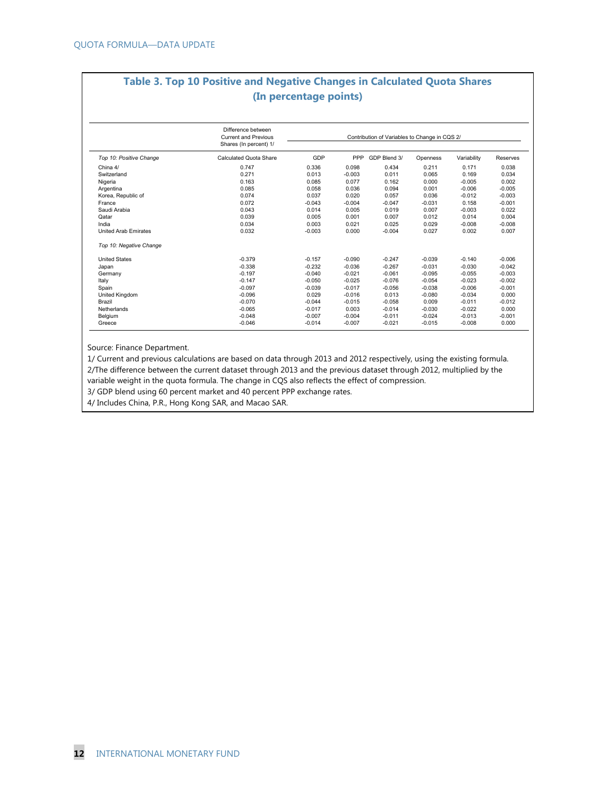### **Table 3. Top 10 Positive and Negative Changes in Calculated Quota Shares (In percentage points)**

|                         | Difference between<br><b>Current and Previous</b><br>Shares (In percent) 1/ | Contribution of Variables to Change in CQS 2/ |          |              |          |             |          |  |  |
|-------------------------|-----------------------------------------------------------------------------|-----------------------------------------------|----------|--------------|----------|-------------|----------|--|--|
| Top 10: Positive Change | Calculated Quota Share                                                      | GDP                                           | PPP      | GDP Blend 3/ | Openness | Variability | Reserves |  |  |
| China 4/                | 0.747                                                                       | 0.336                                         | 0.098    | 0.434        | 0.211    | 0.171       | 0.038    |  |  |
| Switzerland             | 0.271                                                                       | 0.013                                         | $-0.003$ | 0.011        | 0.065    | 0.169       | 0.034    |  |  |
| Nigeria                 | 0.163                                                                       | 0.085                                         | 0.077    | 0.162        | 0.000    | $-0.005$    | 0.002    |  |  |
| Argentina               | 0.085                                                                       | 0.058                                         | 0.036    | 0.094        | 0.001    | $-0.006$    | $-0.005$ |  |  |
| Korea, Republic of      | 0.074                                                                       | 0.037                                         | 0.020    | 0.057        | 0.036    | $-0.012$    | $-0.003$ |  |  |
| France                  | 0.072                                                                       | $-0.043$                                      | $-0.004$ | $-0.047$     | $-0.031$ | 0.158       | $-0.001$ |  |  |
| Saudi Arabia            | 0.043                                                                       | 0.014                                         | 0.005    | 0.019        | 0.007    | $-0.003$    | 0.022    |  |  |
| Qatar                   | 0.039                                                                       | 0.005                                         | 0.001    | 0.007        | 0.012    | 0.014       | 0.004    |  |  |
| India                   | 0.034                                                                       | 0.003                                         | 0.021    | 0.025        | 0.029    | $-0.008$    | $-0.008$ |  |  |
| United Arab Emirates    | 0.032                                                                       | $-0.003$                                      | 0.000    | $-0.004$     | 0.027    | 0.002       | 0.007    |  |  |
| Top 10: Negative Change |                                                                             |                                               |          |              |          |             |          |  |  |
| <b>United States</b>    | $-0.379$                                                                    | $-0.157$                                      | $-0.090$ | $-0.247$     | $-0.039$ | $-0.140$    | $-0.006$ |  |  |
| Japan                   | $-0.338$                                                                    | $-0.232$                                      | $-0.036$ | $-0.267$     | $-0.031$ | $-0.030$    | $-0.042$ |  |  |
| Germany                 | $-0.197$                                                                    | $-0.040$                                      | $-0.021$ | $-0.061$     | $-0.095$ | $-0.055$    | $-0.003$ |  |  |
| Italy                   | $-0.147$                                                                    | $-0.050$                                      | $-0.025$ | $-0.076$     | $-0.054$ | $-0.023$    | $-0.002$ |  |  |
| Spain                   | $-0.097$                                                                    | $-0.039$                                      | $-0.017$ | $-0.056$     | $-0.038$ | $-0.006$    | $-0.001$ |  |  |
| United Kingdom          | $-0.096$                                                                    | 0.029                                         | $-0.016$ | 0.013        | $-0.080$ | $-0.034$    | 0.000    |  |  |
| Brazil                  | $-0.070$                                                                    | $-0.044$                                      | $-0.015$ | $-0.058$     | 0.009    | $-0.011$    | $-0.012$ |  |  |
| Netherlands             | $-0.065$                                                                    | $-0.017$                                      | 0.003    | $-0.014$     | $-0.030$ | $-0.022$    | 0.000    |  |  |
| Belgium                 | $-0.048$                                                                    | $-0.007$                                      | $-0.004$ | $-0.011$     | $-0.024$ | $-0.013$    | $-0.001$ |  |  |
| Greece                  | $-0.046$                                                                    | $-0.014$                                      | $-0.007$ | $-0.021$     | $-0.015$ | $-0.008$    | 0.000    |  |  |

Source: Finance Department.

1/ Current and previous calculations are based on data through 2013 and 2012 respectively, using the existing formula. 2/The difference between the current dataset through 2013 and the previous dataset through 2012, multiplied by the variable weight in the quota formula. The change in CQS also reflects the effect of compression.

3/ GDP blend using 60 percent market and 40 percent PPP exchange rates.

4/ Includes China, P.R., Hong Kong SAR, and Macao SAR.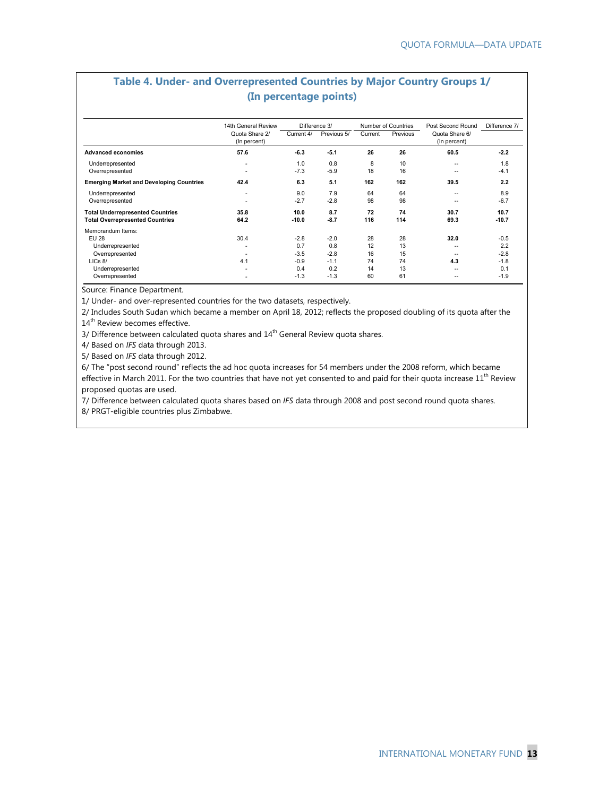| (In percentage points)                                                                                                     |                                |                                                    |                                                    |                                  |                                  |                                                     |                                                    |  |  |  |
|----------------------------------------------------------------------------------------------------------------------------|--------------------------------|----------------------------------------------------|----------------------------------------------------|----------------------------------|----------------------------------|-----------------------------------------------------|----------------------------------------------------|--|--|--|
|                                                                                                                            | 14th General Review            | Difference 3/                                      |                                                    |                                  | Number of Countries              | Post Second Round                                   | Difference 7/                                      |  |  |  |
|                                                                                                                            | Quota Share 2/<br>(In percent) | Current 4/                                         | Previous 5/                                        | Current                          | Previous                         | Quota Share 6/<br>(In percent)                      |                                                    |  |  |  |
| <b>Advanced economies</b>                                                                                                  | 57.6                           | $-6.3$                                             | $-5.1$                                             | 26                               | 26                               | 60.5                                                | $-2.2$                                             |  |  |  |
| Underrepresented<br>Overrepresented                                                                                        | ٠                              | 1.0<br>$-7.3$                                      | 0.8<br>$-5.9$                                      | 8<br>18                          | 10<br>16                         | $\overline{\phantom{a}}$<br>--                      | 1.8<br>$-4.1$                                      |  |  |  |
| <b>Emerging Market and Developing Countries</b>                                                                            | 42.4                           | 6.3                                                | 5.1                                                | 162                              | 162                              | 39.5                                                | 2.2                                                |  |  |  |
| Underrepresented<br>Overrepresented                                                                                        | ٠                              | 9.0<br>$-2.7$                                      | 7.9<br>$-2.8$                                      | 64<br>98                         | 64<br>98                         | --<br>--                                            | 8.9<br>$-6.7$                                      |  |  |  |
| <b>Total Underrepresented Countries</b><br><b>Total Overrepresented Countries</b>                                          | 35.8<br>64.2                   | 10.0<br>$-10.0$                                    | 8.7<br>$-8.7$                                      | 72<br>116                        | 74<br>114                        | 30.7<br>69.3                                        | 10.7<br>$-10.7$                                    |  |  |  |
| Memorandum Items:<br><b>EU 28</b><br>Underrepresented<br>Overrepresented<br>LICs 8/<br>Underrepresented<br>Overrepresented | 30.4<br>4.1                    | $-2.8$<br>0.7<br>$-3.5$<br>$-0.9$<br>0.4<br>$-1.3$ | $-2.0$<br>0.8<br>$-2.8$<br>$-1.1$<br>0.2<br>$-1.3$ | 28<br>12<br>16<br>74<br>14<br>60 | 28<br>13<br>15<br>74<br>13<br>61 | 32.0<br>$\overline{\phantom{a}}$<br>4.3<br>--<br>-- | $-0.5$<br>2.2<br>$-2.8$<br>$-1.8$<br>0.1<br>$-1.9$ |  |  |  |

# **Table 4. Under- and Overrepresented Countries by Major Country Groups 1/**

Source: Finance Department.

1/ Under- and over-represented countries for the two datasets, respectively.

2/ Includes South Sudan which became a member on April 18, 2012; reflects the proposed doubling of its quota after the 14<sup>th</sup> Review becomes effective.

3/ Difference between calculated quota shares and 14<sup>th</sup> General Review quota shares.

4/ Based on *IFS* data through 2013.

5/ Based on *IFS* data through 2012.

6/ The "post second round" reflects the ad hoc quota increases for 54 members under the 2008 reform, which became effective in March 2011. For the two countries that have not yet consented to and paid for their quota increase  $11^{th}$  Review proposed quotas are used.

7/ Difference between calculated quota shares based on *IFS* data through 2008 and post second round quota shares.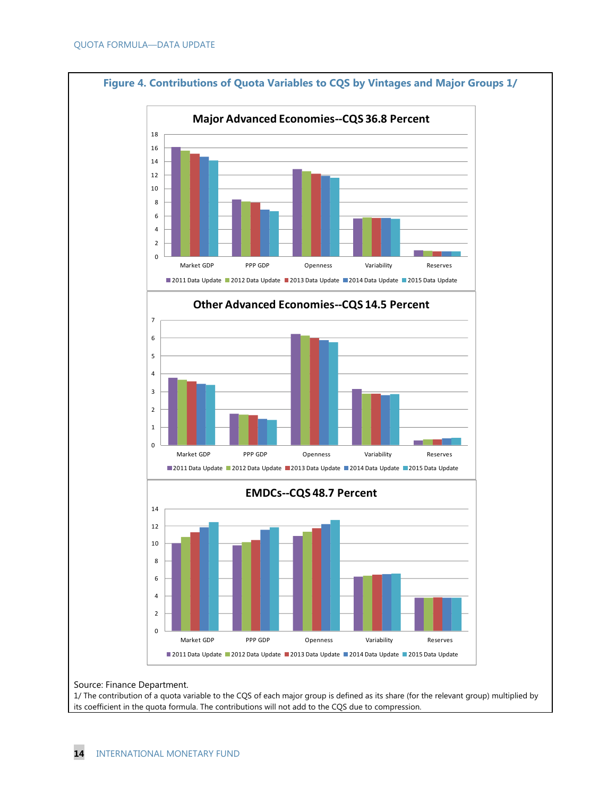

Source: Finance Department.

1/ The contribution of a quota variable to the CQS of each major group is defined as its share (for the relevant group) multiplied by its coefficient in the quota formula. The contributions will not add to the CQS due to compression.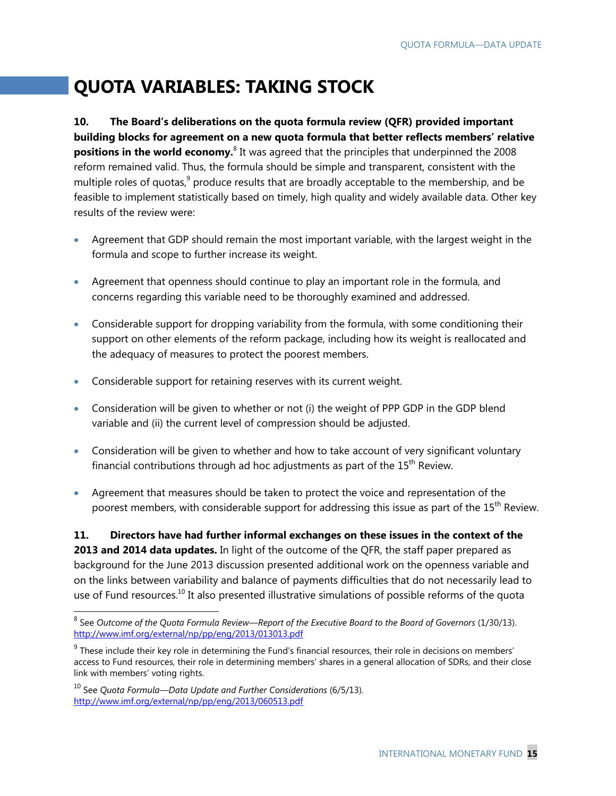# **QUOTA VARIABLES: TAKING STOCK**

**10. The Board's deliberations on the quota formula review (QFR) provided important building blocks for agreement on a new quota formula that better reflects members' relative positions in the world economy.**<sup>8</sup> It was agreed that the principles that underpinned the 2008 reform remained valid. Thus, the formula should be simple and transparent, consistent with the multiple roles of quotas,<sup>9</sup> produce results that are broadly acceptable to the membership, and be feasible to implement statistically based on timely, high quality and widely available data. Other key results of the review were:

- Agreement that GDP should remain the most important variable, with the largest weight in the formula and scope to further increase its weight.
- Agreement that openness should continue to play an important role in the formula, and concerns regarding this variable need to be thoroughly examined and addressed.
- Considerable support for dropping variability from the formula, with some conditioning their support on other elements of the reform package, including how its weight is reallocated and the adequacy of measures to protect the poorest members.
- Considerable support for retaining reserves with its current weight.
- Consideration will be given to whether or not (i) the weight of PPP GDP in the GDP blend variable and (ii) the current level of compression should be adjusted.
- Consideration will be given to whether and how to take account of very significant voluntary financial contributions through ad hoc adjustments as part of the  $15<sup>th</sup>$  Review.
- Agreement that measures should be taken to protect the voice and representation of the poorest members, with considerable support for addressing this issue as part of the 15<sup>th</sup> Review.

**11. Directors have had further informal exchanges on these issues in the context of the 2013 and 2014 data updates.** In light of the outcome of the QFR, the staff paper prepared as background for the June 2013 discussion presented additional work on the openness variable and on the links between variability and balance of payments difficulties that do not necessarily lead to use of Fund resources.<sup>10</sup> It also presented illustrative simulations of possible reforms of the quota

<sup>-</sup>8 See *Outcome of the Quota Formula Review—Report of the Executive Board to the Board of Governors* (1/30/13). http://www.imf.org/external/np/pp/eng/2013/013013.pdf

 $^9$  These include their key role in determining the Fund's financial resources, their role in decisions on members' access to Fund resources, their role in determining members' shares in a general allocation of SDRs, and their close link with members' voting rights.

<sup>&</sup>lt;sup>10</sup> See *Quota Formula—Data Update and Further Considerations* (6/5/13). http://www.imf.org/external/np/pp/eng/2013/060513.pdf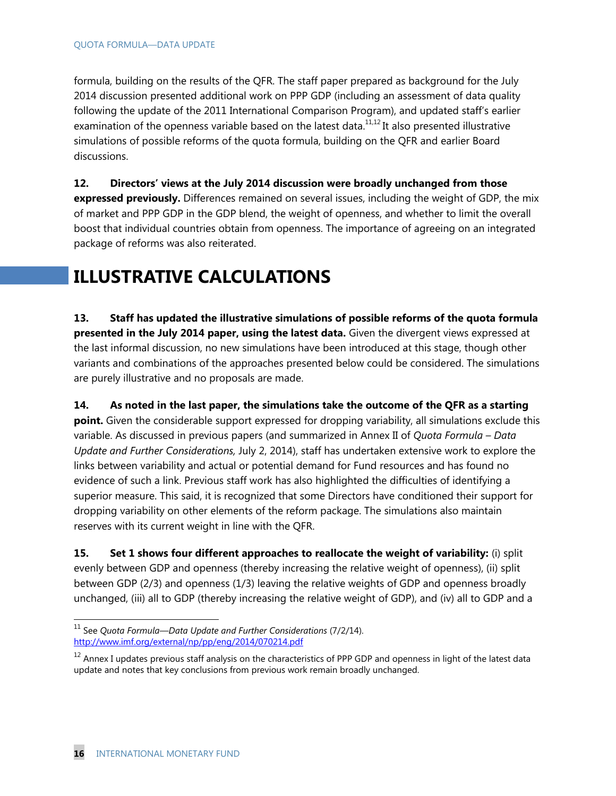formula, building on the results of the QFR. The staff paper prepared as background for the July 2014 discussion presented additional work on PPP GDP (including an assessment of data quality following the update of the 2011 International Comparison Program), and updated staff's earlier examination of the openness variable based on the latest data. $11,12$  It also presented illustrative simulations of possible reforms of the quota formula, building on the QFR and earlier Board discussions.

**12. Directors' views at the July 2014 discussion were broadly unchanged from those expressed previously.** Differences remained on several issues, including the weight of GDP, the mix of market and PPP GDP in the GDP blend, the weight of openness, and whether to limit the overall boost that individual countries obtain from openness. The importance of agreeing on an integrated package of reforms was also reiterated.

# **ILLUSTRATIVE CALCULATIONS**

**13. Staff has updated the illustrative simulations of possible reforms of the quota formula presented in the July 2014 paper, using the latest data.** Given the divergent views expressed at the last informal discussion, no new simulations have been introduced at this stage, though other variants and combinations of the approaches presented below could be considered. The simulations are purely illustrative and no proposals are made.

**14. As noted in the last paper, the simulations take the outcome of the QFR as a starting point.** Given the considerable support expressed for dropping variability, all simulations exclude this variable. As discussed in previous papers (and summarized in Annex II of *Quota Formula – Data Update and Further Considerations,* July 2, 2014), staff has undertaken extensive work to explore the links between variability and actual or potential demand for Fund resources and has found no evidence of such a link. Previous staff work has also highlighted the difficulties of identifying a superior measure. This said, it is recognized that some Directors have conditioned their support for dropping variability on other elements of the reform package. The simulations also maintain reserves with its current weight in line with the QFR.

**15.** Set 1 shows four different approaches to reallocate the weight of variability: (i) split evenly between GDP and openness (thereby increasing the relative weight of openness), (ii) split between GDP (2/3) and openness (1/3) leaving the relative weights of GDP and openness broadly unchanged, (iii) all to GDP (thereby increasing the relative weight of GDP), and (iv) all to GDP and a

-

<sup>&</sup>lt;sup>11</sup> See *Quota Formula—Data Update and Further Considerations (7/2/14).* http://www.imf.org/external/np/pp/eng/2014/070214.pdf

 $12$  Annex I updates previous staff analysis on the characteristics of PPP GDP and openness in light of the latest data update and notes that key conclusions from previous work remain broadly unchanged.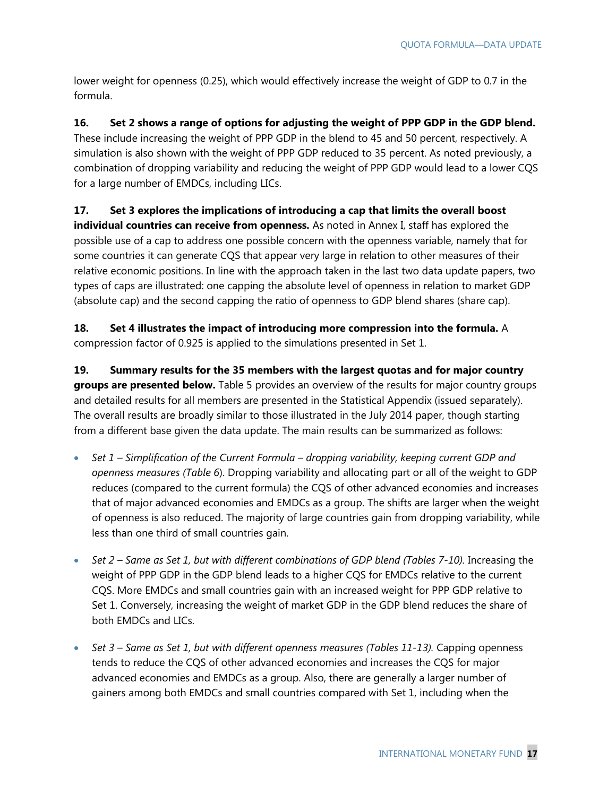lower weight for openness (0.25), which would effectively increase the weight of GDP to 0.7 in the formula.

#### **16. Set 2 shows a range of options for adjusting the weight of PPP GDP in the GDP blend.**

These include increasing the weight of PPP GDP in the blend to 45 and 50 percent, respectively. A simulation is also shown with the weight of PPP GDP reduced to 35 percent. As noted previously, a combination of dropping variability and reducing the weight of PPP GDP would lead to a lower CQS for a large number of EMDCs, including LICs.

#### **17. Set 3 explores the implications of introducing a cap that limits the overall boost**

**individual countries can receive from openness.** As noted in Annex I, staff has explored the possible use of a cap to address one possible concern with the openness variable, namely that for some countries it can generate CQS that appear very large in relation to other measures of their relative economic positions. In line with the approach taken in the last two data update papers, two types of caps are illustrated: one capping the absolute level of openness in relation to market GDP (absolute cap) and the second capping the ratio of openness to GDP blend shares (share cap).

**18. Set 4 illustrates the impact of introducing more compression into the formula.** A compression factor of 0.925 is applied to the simulations presented in Set 1.

**19. Summary results for the 35 members with the largest quotas and for major country groups are presented below.** Table 5 provides an overview of the results for major country groups and detailed results for all members are presented in the Statistical Appendix (issued separately). The overall results are broadly similar to those illustrated in the July 2014 paper, though starting from a different base given the data update. The main results can be summarized as follows:

- *Set 1 Simplification of the Current Formula dropping variability, keeping current GDP and openness measures (Table 6*). Dropping variability and allocating part or all of the weight to GDP reduces (compared to the current formula) the CQS of other advanced economies and increases that of major advanced economies and EMDCs as a group. The shifts are larger when the weight of openness is also reduced. The majority of large countries gain from dropping variability, while less than one third of small countries gain.
- Set 2 Same as Set 1, but with different combinations of GDP blend (Tables 7-10). Increasing the weight of PPP GDP in the GDP blend leads to a higher CQS for EMDCs relative to the current CQS. More EMDCs and small countries gain with an increased weight for PPP GDP relative to Set 1. Conversely, increasing the weight of market GDP in the GDP blend reduces the share of both EMDCs and LICs.
- Set 3 Same as Set 1, but with different openness measures (Tables 11-13). Capping openness tends to reduce the CQS of other advanced economies and increases the CQS for major advanced economies and EMDCs as a group. Also, there are generally a larger number of gainers among both EMDCs and small countries compared with Set 1, including when the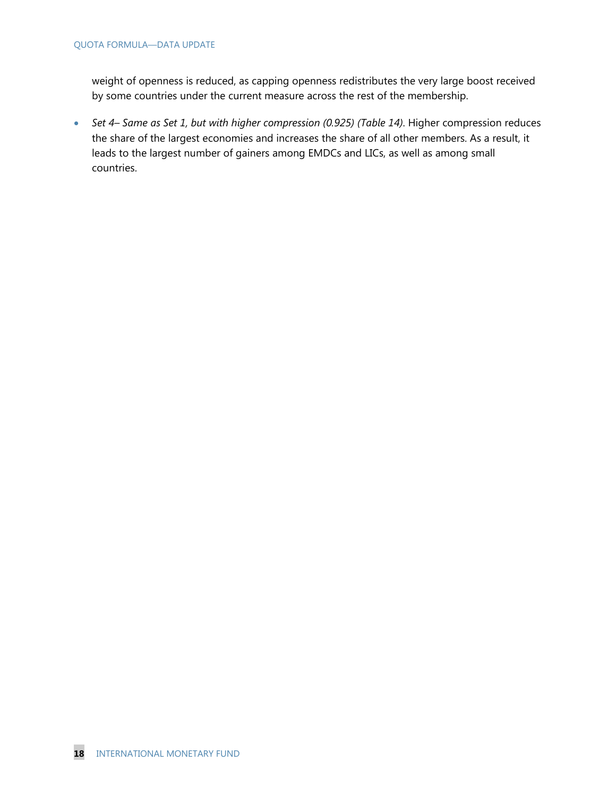weight of openness is reduced, as capping openness redistributes the very large boost received by some countries under the current measure across the rest of the membership.

 *Set 4– Same as Set 1, but with higher compression (0.925) (Table 14)*. Higher compression reduces the share of the largest economies and increases the share of all other members. As a result, it leads to the largest number of gainers among EMDCs and LICs, as well as among small countries.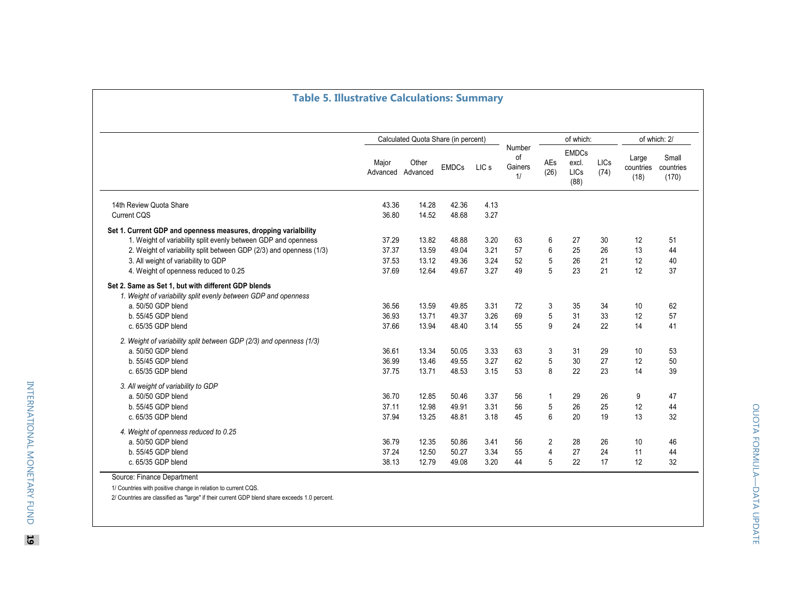|                                                                                                                                                                                                                                                                                          |                                  | Calculated Quota Share (in percent) |                                  |                              |                               |                                       | of which:                             |                      |                            | of which: 2/                |
|------------------------------------------------------------------------------------------------------------------------------------------------------------------------------------------------------------------------------------------------------------------------------------------|----------------------------------|-------------------------------------|----------------------------------|------------------------------|-------------------------------|---------------------------------------|---------------------------------------|----------------------|----------------------------|-----------------------------|
|                                                                                                                                                                                                                                                                                          | Major<br>Advanced Advanced       | Other                               | <b>EMDCs</b>                     | LIC <sub>s</sub>             | Number<br>of<br>Gainers<br>1/ | AEs<br>(26)                           | <b>EMDCs</b><br>excl.<br>LICs<br>(88) | <b>LICs</b><br>(74)  | Large<br>countries<br>(18) | Small<br>countries<br>(170) |
| 14th Review Quota Share<br><b>Current CQS</b>                                                                                                                                                                                                                                            | 43.36<br>36.80                   | 14.28<br>14.52                      | 42.36<br>48.68                   | 4.13<br>3.27                 |                               |                                       |                                       |                      |                            |                             |
| Set 1. Current GDP and openness measures, dropping varialbility<br>1. Weight of variability split evenly between GDP and openness<br>2. Weight of variability split between GDP (2/3) and openness (1/3)<br>3. All weight of variability to GDP<br>4. Weight of openness reduced to 0.25 | 37.29<br>37.37<br>37.53<br>37.69 | 13.82<br>13.59<br>13.12<br>12.64    | 48.88<br>49.04<br>49.36<br>49.67 | 3.20<br>3.21<br>3.24<br>3.27 | 63<br>57<br>52<br>49          | 6<br>6<br>5<br>5                      | 27<br>25<br>26<br>23                  | 30<br>26<br>21<br>21 | 12<br>13<br>12<br>12       | 51<br>44<br>40<br>37        |
| Set 2. Same as Set 1, but with different GDP blends<br>1. Weight of variability split evenly between GDP and openness<br>a. 50/50 GDP blend<br>b. 55/45 GDP blend<br>c. 65/35 GDP blend                                                                                                  | 36.56<br>36.93<br>37.66          | 13.59<br>13.71<br>13.94             | 49.85<br>49.37<br>48.40          | 3.31<br>3.26<br>3.14         | 72<br>69<br>55                | 3<br>5<br>9                           | 35<br>31<br>24                        | 34<br>33<br>22       | 10<br>12<br>14             | 62<br>57<br>41              |
| 2. Weight of variability split between GDP (2/3) and openness (1/3)<br>a. 50/50 GDP blend<br>b. 55/45 GDP blend<br>c. 65/35 GDP blend                                                                                                                                                    | 36.61<br>36.99<br>37.75          | 13.34<br>13.46<br>13.71             | 50.05<br>49.55<br>48.53          | 3.33<br>3.27<br>3.15         | 63<br>62<br>53                | 3<br>5<br>8                           | 31<br>30<br>22                        | 29<br>27<br>23       | 10<br>12<br>14             | 53<br>50<br>39              |
| 3. All weight of variability to GDP<br>a. 50/50 GDP blend<br>b. 55/45 GDP blend<br>c. 65/35 GDP blend                                                                                                                                                                                    | 36.70<br>37.11<br>37.94          | 12.85<br>12.98<br>13.25             | 50.46<br>49.91<br>48.81          | 3.37<br>3.31<br>3.18         | 56<br>56<br>45                | 1<br>5<br>6                           | 29<br>26<br>20                        | 26<br>25<br>19       | 9<br>12<br>13              | 47<br>44<br>32              |
| 4. Weight of openness reduced to 0.25<br>a. 50/50 GDP blend<br>b. 55/45 GDP blend<br>c. 65/35 GDP blend                                                                                                                                                                                  | 36.79<br>37.24<br>38.13          | 12.35<br>12.50<br>12.79             | 50.86<br>50.27<br>49.08          | 3.41<br>3.34<br>3.20         | 56<br>55<br>44                | $\overline{c}$<br>$\overline{4}$<br>5 | 28<br>27<br>22                        | 26<br>24<br>17       | 10<br>11<br>12             | 46<br>44<br>32              |

1/ Countries with positive change in relation to current CQS.

2/ Countries are classified as "large" if their current GDP blend share exceeds 1.0 percent.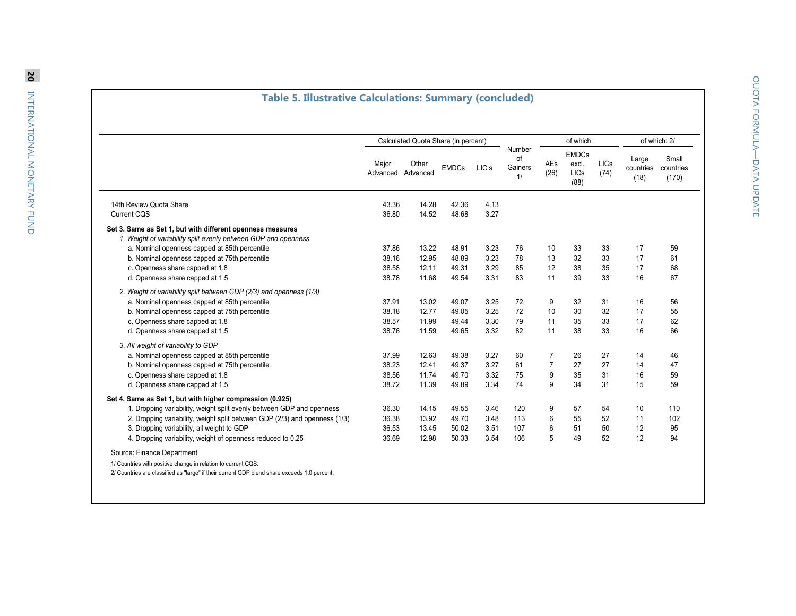### **Table 5. Illustrative Calculations: Summary (concluded)**

|                                                                                                                              |                   | Calculated Quota Share (in percent) |              |                  |                               |                | of which:                             |                     |                            | of which: 2/                |
|------------------------------------------------------------------------------------------------------------------------------|-------------------|-------------------------------------|--------------|------------------|-------------------------------|----------------|---------------------------------------|---------------------|----------------------------|-----------------------------|
|                                                                                                                              | Major<br>Advanced | Other<br>Advanced                   | <b>EMDCs</b> | LIC <sub>s</sub> | Number<br>of<br>Gainers<br>1/ | AEs<br>(26)    | <b>EMDCs</b><br>excl.<br>LICs<br>(88) | <b>LICs</b><br>(74) | Large<br>countries<br>(18) | Small<br>countries<br>(170) |
| 14th Review Quota Share                                                                                                      | 43.36             | 14.28                               | 42.36        | 4.13             |                               |                |                                       |                     |                            |                             |
| <b>Current CQS</b>                                                                                                           | 36.80             | 14.52                               | 48.68        | 3.27             |                               |                |                                       |                     |                            |                             |
| Set 3. Same as Set 1, but with different openness measures<br>1. Weight of variability split evenly between GDP and openness |                   |                                     |              |                  |                               |                |                                       |                     |                            |                             |
| a. Nominal openness capped at 85th percentile                                                                                | 37.86             | 13.22                               | 48.91        | 3.23             | 76                            | 10             | 33                                    | 33                  | 17                         | 59                          |
| b. Nominal openness capped at 75th percentile                                                                                | 38.16             | 12.95                               | 48.89        | 3.23             | 78                            | 13             | 32                                    | 33                  | 17                         | 61                          |
| c. Openness share capped at 1.8                                                                                              | 38.58             | 12.11                               | 49.31        | 3.29             | 85                            | 12             | 38                                    | 35                  | 17                         | 68                          |
| d. Openness share capped at 1.5                                                                                              | 38.78             | 11.68                               | 49.54        | 3.31             | 83                            | 11             | 39                                    | 33                  | 16                         | 67                          |
| 2. Weight of variability split between GDP (2/3) and openness (1/3)                                                          |                   |                                     |              |                  |                               |                |                                       |                     |                            |                             |
| a. Nominal openness capped at 85th percentile                                                                                | 37.91             | 13.02                               | 49.07        | 3.25             | 72                            | 9              | 32                                    | 31                  | 16                         | 56                          |
| b. Nominal openness capped at 75th percentile                                                                                | 38.18             | 12.77                               | 49.05        | 3.25             | 72                            | 10             | 30                                    | 32                  | 17                         | 55                          |
| c. Openness share capped at 1.8                                                                                              | 38.57             | 11.99                               | 49.44        | 3.30             | 79                            | 11             | 35                                    | 33                  | 17                         | 62                          |
| d. Openness share capped at 1.5                                                                                              | 38.76             | 11.59                               | 49.65        | 3.32             | 82                            | 11             | 38                                    | 33                  | 16                         | 66                          |
| 3. All weight of variability to GDP                                                                                          |                   |                                     |              |                  |                               |                |                                       |                     |                            |                             |
| a. Nominal openness capped at 85th percentile                                                                                | 37.99             | 12.63                               | 49.38        | 3.27             | 60                            | 7              | 26                                    | 27                  | 14                         | 46                          |
| b. Nominal openness capped at 75th percentile                                                                                | 38.23             | 12.41                               | 49.37        | 3.27             | 61                            | $\overline{7}$ | 27                                    | 27                  | 14                         | 47                          |
| c. Openness share capped at 1.8                                                                                              | 38.56             | 11.74                               | 49.70        | 3.32             | 75                            | 9              | 35                                    | 31                  | 16                         | 59                          |
| d. Openness share capped at 1.5                                                                                              | 38.72             | 11.39                               | 49.89        | 3.34             | 74                            | 9              | 34                                    | 31                  | 15                         | 59                          |
| Set 4. Same as Set 1, but with higher compression (0.925)                                                                    |                   |                                     |              |                  |                               |                |                                       |                     |                            |                             |
| 1. Dropping variability, weight split evenly between GDP and openness                                                        | 36.30             | 14.15                               | 49.55        | 3.46             | 120                           | 9              | 57                                    | 54                  | 10                         | 110                         |
| 2. Dropping variability, weight split between GDP (2/3) and openness (1/3)                                                   | 36.38             | 13.92                               | 49.70        | 3.48             | 113                           | 6              | 55                                    | 52                  | 11                         | 102                         |
| 3. Dropping variability, all weight to GDP                                                                                   | 36.53             | 13.45                               | 50.02        | 3.51             | 107                           | 6              | 51                                    | 50                  | 12                         | 95                          |
| 4. Dropping variability, weight of openness reduced to 0.25                                                                  | 36.69             | 12.98                               | 50.33        | 3.54             | 106                           | 5              | 49                                    | 52                  | 12                         | 94                          |

2/ Countries are classified as "large" if their current GDP blend share exceeds 1.0 percent.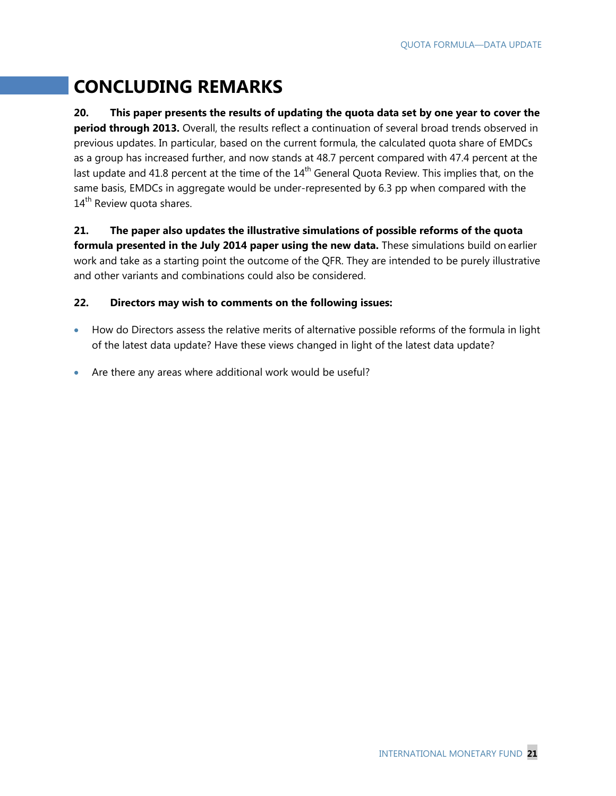# **CONCLUDING REMARKS**

**20. This paper presents the results of updating the quota data set by one year to cover the period through 2013.** Overall, the results reflect a continuation of several broad trends observed in previous updates. In particular, based on the current formula, the calculated quota share of EMDCs as a group has increased further, and now stands at 48.7 percent compared with 47.4 percent at the last update and 41.8 percent at the time of the 14<sup>th</sup> General Quota Review. This implies that, on the same basis, EMDCs in aggregate would be under-represented by 6.3 pp when compared with the  $14<sup>th</sup>$  Review quota shares.

### **21. The paper also updates the illustrative simulations of possible reforms of the quota formula presented in the July 2014 paper using the new data.** These simulations build on earlier work and take as a starting point the outcome of the QFR. They are intended to be purely illustrative and other variants and combinations could also be considered.

#### **22. Directors may wish to comments on the following issues:**

- How do Directors assess the relative merits of alternative possible reforms of the formula in light of the latest data update? Have these views changed in light of the latest data update?
- Are there any areas where additional work would be useful?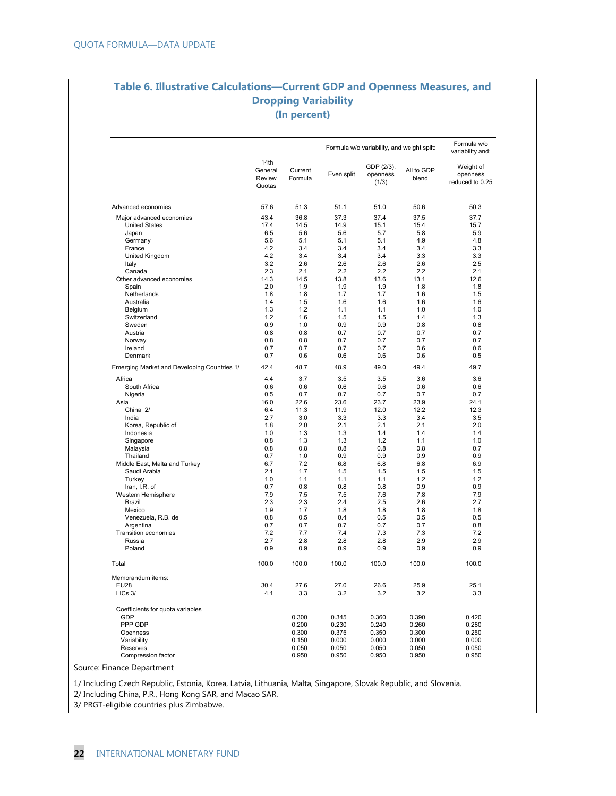#### **Table 6. Illustrative Calculations—Current GDP and Openness Measures, and Dropping Variability (In percent)**

|                                             |                                     |                    |            | Formula w/o variability, and weight spilt: |                     | Formula w/o<br>variability and:          |
|---------------------------------------------|-------------------------------------|--------------------|------------|--------------------------------------------|---------------------|------------------------------------------|
|                                             | 14th<br>General<br>Review<br>Quotas | Current<br>Formula | Even split | GDP (2/3),<br>openness<br>(1/3)            | All to GDP<br>blend | Weight of<br>openness<br>reduced to 0.25 |
| Advanced economies                          | 57.6                                | 51.3               | 51.1       | 51.0                                       | 50.6                | 50.3                                     |
| Major advanced economies                    | 43.4                                | 36.8               | 37.3       | 37.4                                       | 37.5                | 37.7                                     |
| <b>United States</b>                        | 17.4                                | 14.5               | 14.9       | 15.1                                       | 15.4                | 15.7                                     |
| Japan                                       | 6.5                                 | 5.6                | 5.6        | 5.7                                        | 5.8                 | 5.9                                      |
| Germany                                     | 5.6                                 | 5.1                | 5.1        | 5.1                                        | 4.9                 | 4.8                                      |
| France                                      | 4.2                                 | 3.4                | 3.4        | 3.4                                        | 3.4                 | 3.3                                      |
| United Kingdom                              | 4.2                                 | 3.4                | 3.4        | 3.4                                        | 3.3                 | 3.3                                      |
| Italy                                       | 3.2                                 | 2.6                | 2.6        | 2.6                                        | 2.6                 | 2.5                                      |
| Canada                                      | 2.3                                 | 2.1                | 2.2        | 2.2                                        | 2.2                 | 2.1                                      |
| Other advanced economies                    | 14.3                                | 14.5               | 13.8       | 13.6                                       | 13.1                | 12.6                                     |
| Spain                                       | 2.0                                 | 1.9                | 1.9        | 1.9                                        | 1.8                 | 1.8                                      |
| Netherlands                                 | 1.8                                 | 1.8                | 1.7        | 1.7                                        | 1.6                 | 1.5                                      |
| Australia                                   | 1.4                                 | 1.5                | 1.6        | 1.6                                        | 1.6                 | 1.6                                      |
| Belgium                                     | 1.3                                 | 1.2                | 1.1        | 1.1                                        | 1.0                 | 1.0                                      |
| Switzerland                                 | 1.2                                 | 1.6                | 1.5        | 1.5                                        | 1.4                 | 1.3                                      |
| Sweden                                      | 0.9                                 | 1.0                | 0.9        | 0.9                                        | 0.8                 | 0.8                                      |
| Austria                                     | 0.8                                 | 0.8                | 0.7        | 0.7                                        | 0.7                 | 0.7                                      |
| Norway                                      | 0.8                                 | 0.8                | 0.7        | 0.7                                        | 0.7                 | 0.7                                      |
| Ireland                                     | 0.7                                 | 0.7                | 0.7        | 0.7                                        | 0.6                 | 0.6                                      |
| Denmark                                     | 0.7                                 | 0.6                | 0.6        | 0.6                                        | 0.6                 | 0.5                                      |
| Emerging Market and Developing Countries 1/ | 42.4                                | 48.7               | 48.9       | 49.0                                       | 49.4                | 49.7                                     |
| Africa                                      | 4.4                                 | 3.7                | 3.5        | 3.5                                        | 3.6                 | 3.6                                      |
| South Africa                                | 0.6                                 | 0.6                | 0.6        | 0.6                                        | 0.6                 | 0.6                                      |
| Nigeria                                     | 0.5                                 | 0.7                | 0.7        | 0.7                                        | 0.7                 | 0.7                                      |
| Asia                                        | 16.0                                | 22.6               | 23.6       | 23.7                                       | 23.9                | 24.1                                     |
| China 2/                                    | 6.4                                 | 11.3               | 11.9       | 12.0                                       | 12.2                | 12.3                                     |
| India                                       | 2.7                                 | 3.0                | 3.3        | 3.3                                        | 3.4                 | 3.5                                      |
| Korea, Republic of                          | 1.8                                 | 2.0                | 2.1        | 2.1                                        | 2.1                 | 2.0                                      |
| Indonesia                                   | 1.0                                 | 1.3                | 1.3        | 1.4                                        | 1.4                 | 1.4                                      |
| Singapore                                   | 0.8                                 | 1.3                | 1.3        | 1.2                                        | 1.1                 | 1.0                                      |
| Malaysia                                    | 0.8                                 | 0.8                | 0.8        | 0.8                                        | 0.8                 | 0.7                                      |
| Thailand                                    | 0.7                                 | 1.0                | 0.9        | 0.9                                        | 0.9                 | 0.9                                      |
| Middle East, Malta and Turkey               | 6.7                                 | 7.2                | 6.8        | 6.8                                        | 6.8                 | 6.9                                      |
| Saudi Arabia                                | 2.1                                 | 1.7                | 1.5        | 1.5                                        | 1.5                 | 1.5                                      |
| Turkey                                      | 1.0                                 | 1.1                | 1.1        | 1.1                                        | 1.2                 | 1.2                                      |
| Iran, I.R. of                               | 0.7                                 | 0.8                | 0.8        | 0.8                                        | 0.9                 | 0.9                                      |
| Western Hemisphere                          | 7.9                                 | 7.5                | 7.5        | 7.6                                        | 7.8                 | 7.9                                      |
| Brazil                                      | 2.3                                 | 2.3                | 2.4        | 2.5                                        | 2.6                 | 2.7                                      |
| Mexico                                      | 1.9                                 | 1.7                | 1.8        | 1.8                                        | 1.8                 | 1.8                                      |
| Venezuela, R.B. de                          | 0.8                                 | 0.5                | 0.4        | 0.5                                        | 0.5                 | 0.5                                      |
| Argentina                                   | 0.7                                 | 0.7                | 0.7        | 0.7                                        | 0.7                 | 0.8                                      |
| <b>Transition economies</b>                 | 7.2                                 | 7.7<br>2.8         | 7.4<br>2.8 | 7.3<br>2.8                                 | 7.3<br>2.9          | 7.2<br>2.9                               |
| Russia<br>Poland                            | 2.7<br>0.9                          | 0.9                | 0.9        | 0.9                                        | 0.9                 | 0.9                                      |
| Total                                       | 100.0                               | 100.0              | 100.0      | 100.0                                      | 100.0               | 100.0                                    |
| Memorandum items:                           |                                     |                    |            |                                            |                     |                                          |
| <b>EU28</b>                                 | 30.4                                | 27.6               | 27.0       | 26.6                                       | 25.9                | 25.1                                     |
| LICs 3/                                     | 4.1                                 | 3.3                | 3.2        | 3.2                                        | 3.2                 | 3.3                                      |
| Coefficients for quota variables            |                                     |                    |            |                                            |                     |                                          |
| GDP                                         |                                     | 0.300              | 0.345      | 0.360                                      | 0.390               | 0.420                                    |
| PPP GDP                                     |                                     | 0.200              | 0.230      | 0.240                                      | 0.260               | 0.280                                    |
| Openness                                    |                                     | 0.300              | 0.375      | 0.350                                      | 0.300               | 0.250                                    |
| Variability                                 |                                     | 0.150              | 0.000      | 0.000                                      | 0.000               | 0.000                                    |
| Reserves                                    |                                     | 0.050              | 0.050      | 0.050                                      | 0.050               | 0.050                                    |
| Compression factor                          |                                     | 0.950              | 0.950      | 0.950                                      | 0.950               | 0.950                                    |

Source: Finance Department

1/ Including Czech Republic, Estonia, Korea, Latvia, Lithuania, Malta, Singapore, Slovak Republic, and Slovenia. 2/ Including China, P.R., Hong Kong SAR, and Macao SAR.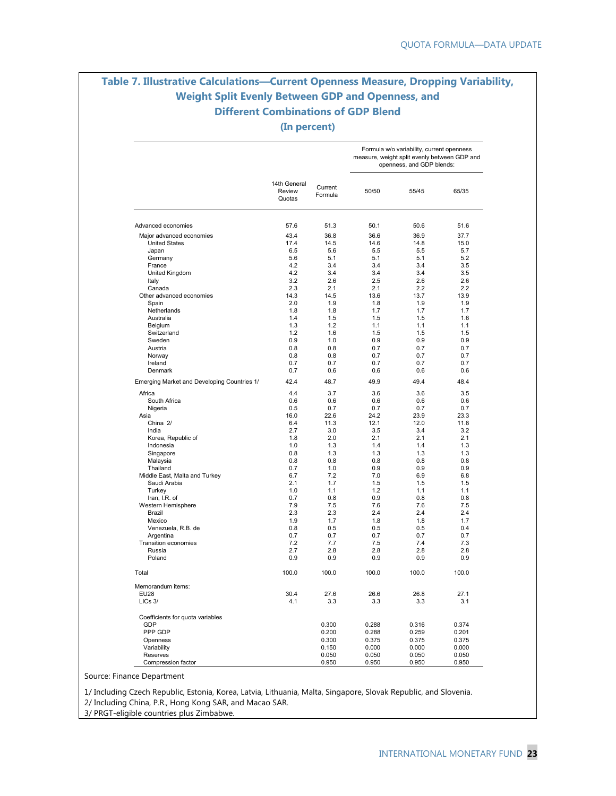# **Table 7. Illustrative Calculations—Current Openness Measure, Dropping Variability, Weight Split Evenly Between GDP and Openness, and Different Combinations of GDP Blend**

**(In percent)**

|                                               |                                  |                    |                | Formula w/o variability, current openness<br>measure, weight split evenly between GDP and<br>openness, and GDP blends: |                |
|-----------------------------------------------|----------------------------------|--------------------|----------------|------------------------------------------------------------------------------------------------------------------------|----------------|
|                                               | 14th General<br>Review<br>Quotas | Current<br>Formula | 50/50          | 55/45                                                                                                                  | 65/35          |
| Advanced economies                            | 57.6                             | 51.3               | 50.1           | 50.6                                                                                                                   | 51.6           |
| Major advanced economies                      | 43.4                             | 36.8               | 36.6           | 36.9                                                                                                                   | 37.7           |
| <b>United States</b>                          | 17.4                             | 14.5               | 14.6           | 14.8                                                                                                                   | 15.0           |
| Japan                                         | 6.5                              | 5.6                | 5.5            | 5.5                                                                                                                    | 5.7            |
| Germany                                       | 5.6                              | 5.1                | 5.1            | 5.1                                                                                                                    | 5.2            |
| France                                        | 4.2                              | 3.4                | 3.4            | 3.4                                                                                                                    | 3.5            |
| United Kingdom                                | 4.2                              | 3.4                | 3.4            | 3.4                                                                                                                    | 3.5            |
| Italy<br>Canada                               | 3.2<br>2.3                       | 2.6<br>2.1         | 2.5<br>2.1     | 2.6<br>2.2                                                                                                             | 2.6<br>2.2     |
| Other advanced economies                      | 14.3                             | 14.5               | 13.6           | 13.7                                                                                                                   | 13.9           |
| Spain                                         | 2.0                              | 1.9                | 1.8            | 1.9                                                                                                                    | 1.9            |
| Netherlands                                   | 1.8                              | 1.8                | 1.7            | 1.7                                                                                                                    | 1.7            |
| Australia                                     | 1.4                              | 1.5                | 1.5            | 1.5                                                                                                                    | 1.6            |
| Belgium                                       | 1.3                              | 1.2                | 1.1            | 1.1                                                                                                                    | 1.1            |
| Switzerland                                   | 1.2                              | 1.6                | 1.5            | 1.5                                                                                                                    | 1.5            |
| Sweden                                        | 0.9                              | 1.0                | 0.9            | 0.9                                                                                                                    | 0.9            |
| Austria                                       | 0.8                              | 0.8                | 0.7            | 0.7                                                                                                                    | 0.7            |
| Norway                                        | 0.8                              | 0.8                | 0.7            | 0.7                                                                                                                    | 0.7            |
| Ireland<br>Denmark                            | 0.7<br>0.7                       | 0.7<br>0.6         | 0.7<br>0.6     | 0.7<br>0.6                                                                                                             | 0.7<br>0.6     |
| Emerging Market and Developing Countries 1/   | 42.4                             | 48.7               | 49.9           | 49.4                                                                                                                   | 48.4           |
| Africa                                        | 4.4                              | 3.7                | 3.6            | 3.6                                                                                                                    | 3.5            |
| South Africa                                  | 0.6                              | 0.6                | 0.6            | 0.6                                                                                                                    | 0.6            |
| Nigeria                                       | 0.5                              | 0.7                | 0.7            | 0.7                                                                                                                    | 0.7            |
| Asia                                          | 16.0                             | 22.6               | 24.2           | 23.9                                                                                                                   | 23.3           |
| China 2/                                      | 6.4                              | 11.3               | 12.1           | 12.0                                                                                                                   | 11.8           |
| India                                         | 2.7                              | 3.0                | 3.5            | 3.4                                                                                                                    | 3.2            |
| Korea, Republic of                            | 1.8                              | 2.0                | 2.1            | 2.1                                                                                                                    | 2.1            |
| Indonesia                                     | 1.0                              | 1.3                | 1.4            | 1.4                                                                                                                    | 1.3            |
| Singapore                                     | 0.8                              | 1.3                | 1.3            | 1.3                                                                                                                    | 1.3            |
| Malaysia                                      | 0.8                              | 0.8                | 0.8            | 0.8                                                                                                                    | 0.8            |
| Thailand                                      | 0.7<br>6.7                       | 1.0<br>7.2         | 0.9<br>7.0     | 0.9<br>6.9                                                                                                             | 0.9<br>6.8     |
| Middle East, Malta and Turkey<br>Saudi Arabia | 2.1                              | 1.7                | 1.5            | 1.5                                                                                                                    | 1.5            |
| Turkey                                        | 1.0                              | 1.1                | 1.2            | 1.1                                                                                                                    | 1.1            |
| Iran, I.R. of                                 | 0.7                              | 0.8                | 0.9            | 0.8                                                                                                                    | 0.8            |
| Western Hemisphere                            | 7.9                              | 7.5                | 7.6            | 7.6                                                                                                                    | 7.5            |
| Brazil                                        | 2.3                              | 2.3                | 2.4            | 2.4                                                                                                                    | 2.4            |
| Mexico                                        | 1.9                              | 1.7                | 1.8            | 1.8                                                                                                                    | 1.7            |
| Venezuela, R.B. de                            | 0.8                              | 0.5                | 0.5            | 0.5                                                                                                                    | 0.4            |
| Argentina                                     | 0.7                              | 0.7                | 0.7            | 0.7                                                                                                                    | 0.7            |
| Transition economies                          | 7.2                              | 7.7                | 7.5            | 7.4                                                                                                                    | 7.3            |
| Russia<br>Poland                              | 2.7<br>0.9                       | 2.8<br>0.9         | 2.8<br>0.9     | 2.8<br>0.9                                                                                                             | 2.8<br>0.9     |
|                                               |                                  |                    |                |                                                                                                                        |                |
| Total                                         | 100.0                            | 100.0              | 100.0          | 100.0                                                                                                                  | 100.0          |
| Memorandum items:                             |                                  |                    |                |                                                                                                                        |                |
| <b>EU28</b><br>LICs 3/                        | 30.4<br>4.1                      | 27.6<br>3.3        | 26.6<br>3.3    | 26.8<br>3.3                                                                                                            | 27.1<br>3.1    |
| Coefficients for quota variables              |                                  |                    |                |                                                                                                                        |                |
| GDP                                           |                                  | 0.300              | 0.288          | 0.316                                                                                                                  | 0.374          |
| PPP GDP                                       |                                  | 0.200              | 0.288          | 0.259                                                                                                                  | 0.201          |
| Openness                                      |                                  | 0.300              | 0.375          | 0.375                                                                                                                  | 0.375          |
| Variability                                   |                                  | 0.150              | 0.000          | 0.000                                                                                                                  | 0.000          |
| Reserves<br>Compression factor                |                                  | 0.050<br>0.950     | 0.050<br>0.950 | 0.050<br>0.950                                                                                                         | 0.050<br>0.950 |

Source: Finance Department

1/ Including Czech Republic, Estonia, Korea, Latvia, Lithuania, Malta, Singapore, Slovak Republic, and Slovenia. 2/ Including China, P.R., Hong Kong SAR, and Macao SAR.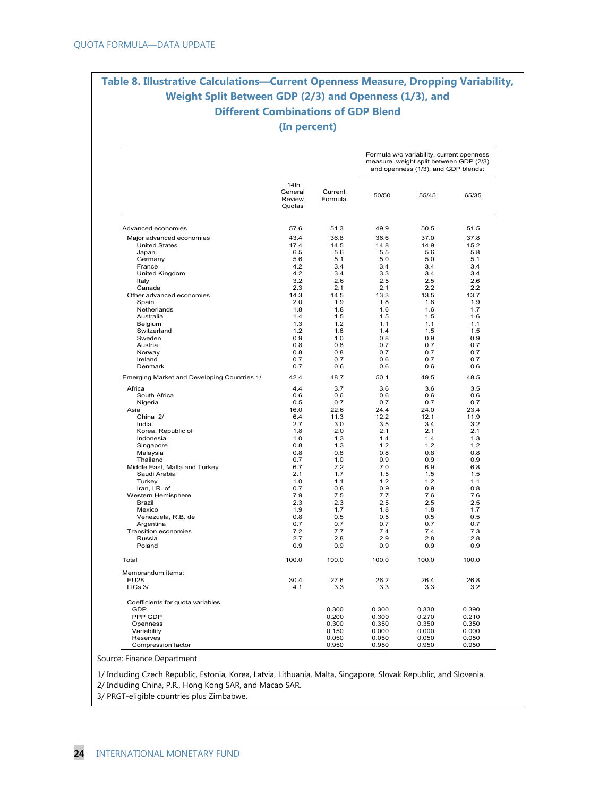# **Table 8. Illustrative Calculations—Current Openness Measure, Dropping Variability, Weight Split Between GDP (2/3) and Openness (1/3), and Different Combinations of GDP Blend**

**(In percent)** 

|                                             |                                     |                    |             | Formula w/o variability, current openness<br>measure, weight split between GDP (2/3)<br>and openness (1/3), and GDP blends: |             |
|---------------------------------------------|-------------------------------------|--------------------|-------------|-----------------------------------------------------------------------------------------------------------------------------|-------------|
|                                             | 14th<br>General<br>Review<br>Quotas | Current<br>Formula | 50/50       | 55/45                                                                                                                       | 65/35       |
| Advanced economies                          | 57.6                                | 51.3               | 49.9        | 50.5                                                                                                                        | 51.5        |
| Major advanced economies                    | 43.4                                | 36.8               | 36.6        | 37.0                                                                                                                        | 37.8        |
| <b>United States</b>                        | 17.4                                | 14.5               | 14.8        | 14.9                                                                                                                        | 15.2        |
| Japan                                       | 6.5                                 | 5.6                | 5.5         | 5.6                                                                                                                         | 5.8         |
| Germany                                     | 5.6                                 | 5.1                | 5.0         | 5.0                                                                                                                         | 5.1         |
| France                                      | 4.2                                 | 3.4                | 3.4         | 3.4                                                                                                                         | 3.4         |
| United Kingdom                              | 4.2                                 | 3.4                | 3.3         | 3.4                                                                                                                         | 3.4         |
| Italy                                       | 3.2                                 | 2.6                | 2.5         | 2.5                                                                                                                         | 2.6         |
| Canada                                      | 2.3                                 | 2.1                | 2.1         | 2.2                                                                                                                         | 2.2         |
| Other advanced economies                    | 14.3                                | 14.5               | 13.3        | 13.5                                                                                                                        | 13.7        |
| Spain                                       | 2.0                                 | 1.9                | 1.8         | 1.8                                                                                                                         | 1.9         |
| Netherlands<br>Australia                    | 1.8<br>1.4                          | 1.8<br>1.5         | 1.6<br>1.5  | 1.6<br>1.5                                                                                                                  | 1.7<br>1.6  |
| Belgium                                     | 1.3                                 | 1.2                | 1.1         | 1.1                                                                                                                         | 1.1         |
| Switzerland                                 | 1.2                                 | 1.6                | 1.4         | 1.5                                                                                                                         | 1.5         |
| Sweden                                      | 0.9                                 | 1.0                | 0.8         | 0.9                                                                                                                         | 0.9         |
| Austria                                     | 0.8                                 | 0.8                | 0.7         | 0.7                                                                                                                         | 0.7         |
| Norway                                      | 0.8                                 | 0.8                | 0.7         | 0.7                                                                                                                         | 0.7         |
| Ireland                                     | 0.7                                 | 0.7                | 0.6         | 0.7                                                                                                                         | 0.7         |
| Denmark                                     | 0.7                                 | 0.6                | 0.6         | 0.6                                                                                                                         | 0.6         |
| Emerging Market and Developing Countries 1/ | 42.4                                | 48.7               | 50.1        | 49.5                                                                                                                        | 48.5        |
| Africa                                      | 4.4                                 | 3.7                | 3.6         | 3.6                                                                                                                         | 3.5         |
| South Africa                                | 0.6                                 | 0.6                | 0.6         | 0.6                                                                                                                         | 0.6         |
| Nigeria                                     | 0.5                                 | 0.7                | 0.7         | 0.7                                                                                                                         | 0.7         |
| Asia                                        | 16.0                                | 22.6               | 24.4        | 24.0                                                                                                                        | 23.4        |
| China 2/<br>India                           | 6.4<br>2.7                          | 11.3<br>3.0        | 12.2<br>3.5 | 12.1<br>3.4                                                                                                                 | 11.9<br>3.2 |
| Korea, Republic of                          | 1.8                                 | 2.0                | 2.1         | 2.1                                                                                                                         | 2.1         |
| Indonesia                                   | 1.0                                 | 1.3                | 1.4         | 1.4                                                                                                                         | 1.3         |
| Singapore                                   | 0.8                                 | 1.3                | 1.2         | 1.2                                                                                                                         | 1.2         |
| Malaysia                                    | 0.8                                 | 0.8                | 0.8         | 0.8                                                                                                                         | 0.8         |
| Thailand                                    | 0.7                                 | 1.0                | 0.9         | 0.9                                                                                                                         | 0.9         |
| Middle East, Malta and Turkey               | 6.7                                 | 7.2                | 7.0         | 6.9                                                                                                                         | 6.8         |
| Saudi Arabia                                | 2.1                                 | 1.7                | 1.5         | 1.5                                                                                                                         | 1.5         |
| Turkey                                      | 1.0<br>0.7                          | 1.1<br>0.8         | 1.2<br>0.9  | 1.2<br>0.9                                                                                                                  | 1.1<br>0.8  |
| Iran, I.R. of<br>Western Hemisphere         | 7.9                                 | 7.5                | 7.7         | 7.6                                                                                                                         | 7.6         |
| Brazil                                      | 2.3                                 | 2.3                | 2.5         | 2.5                                                                                                                         | 2.5         |
| Mexico                                      | 1.9                                 | 1.7                | 1.8         | 1.8                                                                                                                         | 1.7         |
| Venezuela, R.B. de                          | 0.8                                 | 0.5                | 0.5         | 0.5                                                                                                                         | 0.5         |
| Argentina                                   | 0.7                                 | 0.7                | 0.7         | 0.7                                                                                                                         | 0.7         |
| <b>Transition economies</b>                 | 7.2                                 | 7.7                | 7.4         | 7.4                                                                                                                         | 7.3         |
| Russia                                      | 2.7                                 | 2.8                | 2.9         | 2.8                                                                                                                         | 2.8         |
| Poland                                      | 0.9                                 | 0.9                | 0.9         | 0.9                                                                                                                         | 0.9         |
| Total                                       | 100.0                               | 100.0              | 100.0       | 100.0                                                                                                                       | 100.0       |
| Memorandum items:                           |                                     |                    |             |                                                                                                                             |             |
| <b>EU28</b><br>$LICs$ $3/$                  | 30.4<br>4.1                         | 27.6<br>3.3        | 26.2<br>3.3 | 26.4<br>3.3                                                                                                                 | 26.8<br>3.2 |
| Coefficients for quota variables            |                                     |                    |             |                                                                                                                             |             |
| GDP                                         |                                     | 0.300              | 0.300       | 0.330                                                                                                                       | 0.390       |
| PPP GDP                                     |                                     | 0.200              | 0.300       | 0.270                                                                                                                       | 0.210       |
| Openness                                    |                                     | 0.300              | 0.350       | 0.350                                                                                                                       | 0.350       |
| Variability                                 |                                     | 0.150              | 0.000       | 0.000                                                                                                                       | 0.000       |
| Reserves                                    |                                     | 0.050              | 0.050       | 0.050                                                                                                                       | 0.050       |
| Compression factor                          |                                     | 0.950              | 0.950       | 0.950                                                                                                                       | 0.950       |

Source: Finance Department

1/ Including Czech Republic, Estonia, Korea, Latvia, Lithuania, Malta, Singapore, Slovak Republic, and Slovenia.

2/ Including China, P.R., Hong Kong SAR, and Macao SAR.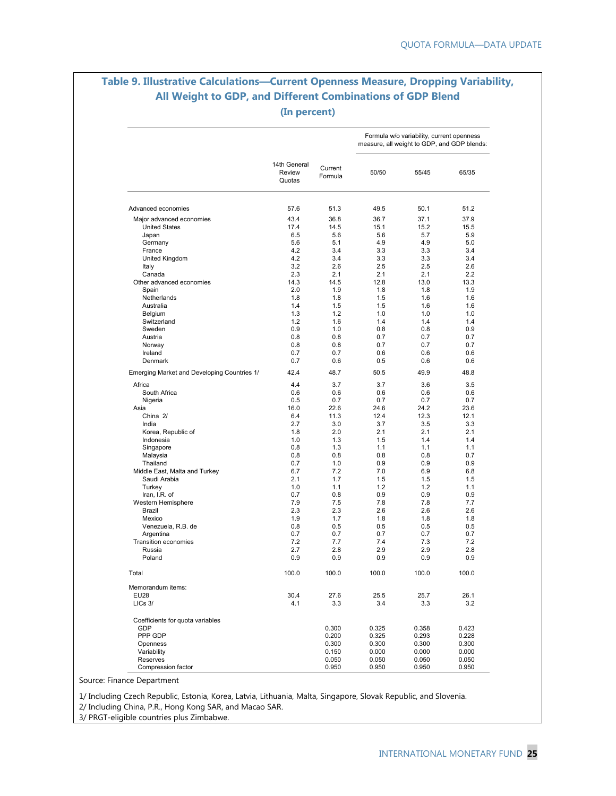### **Table 9. Illustrative Calculations—Current Openness Measure, Dropping Variability, All Weight to GDP, and Different Combinations of GDP Blend (In percent)**

|                                             |                                  |                    |            | Formula w/o variability, current openness<br>measure, all weight to GDP, and GDP blends: |            |
|---------------------------------------------|----------------------------------|--------------------|------------|------------------------------------------------------------------------------------------|------------|
|                                             | 14th General<br>Review<br>Quotas | Current<br>Formula | 50/50      | 55/45                                                                                    | 65/35      |
| Advanced economies                          | 57.6                             | 51.3               | 49.5       | 50.1                                                                                     | 51.2       |
| Major advanced economies                    | 43.4                             | 36.8               | 36.7       | 37.1                                                                                     | 37.9       |
| <b>United States</b>                        | 17.4                             | 14.5               | 15.1       | 15.2                                                                                     | 15.5       |
| Japan                                       | 6.5                              | 5.6                | 5.6        | 5.7                                                                                      | 5.9        |
| Germany                                     | 5.6                              | 5.1                | 4.9        | 4.9                                                                                      | 5.0        |
| France                                      | 4.2                              | 3.4                | 3.3        | 3.3                                                                                      | 3.4        |
| United Kingdom                              | 4.2                              | 3.4                | 3.3        | 3.3                                                                                      | 3.4        |
| Italy                                       | 3.2                              | 2.6                | 2.5        | 2.5                                                                                      | 2.6        |
| Canada                                      | 2.3                              | 2.1                | 2.1        | 2.1                                                                                      | 2.2        |
| Other advanced economies                    | 14.3                             | 14.5               | 12.8       | 13.0                                                                                     | 13.3       |
| Spain                                       | 2.0                              | 1.9                | 1.8        | 1.8                                                                                      | 1.9        |
| Netherlands                                 | 1.8                              | 1.8                | 1.5        | 1.6                                                                                      | 1.6        |
| Australia                                   | 1.4                              | 1.5                | 1.5        | 1.6                                                                                      | 1.6        |
| Belgium                                     | 1.3                              | 1.2                | 1.0        | 1.0                                                                                      | 1.0        |
| Switzerland                                 | 1.2                              | 1.6                | 1.4        | 1.4                                                                                      | 1.4        |
| Sweden                                      | 0.9                              | 1.0                | 0.8        | 0.8                                                                                      | 0.9        |
| Austria                                     | 0.8                              | 0.8                | 0.7        | 0.7                                                                                      | 0.7        |
| Norway                                      | 0.8                              | 0.8                | 0.7        | 0.7                                                                                      | 0.7        |
| Ireland                                     | 0.7                              | 0.7                | 0.6        | 0.6                                                                                      | 0.6        |
| Denmark                                     | 0.7                              | 0.6                | 0.5        | 0.6                                                                                      | 0.6        |
| Emerging Market and Developing Countries 1/ | 42.4                             | 48.7               | 50.5       | 49.9                                                                                     | 48.8       |
| Africa                                      | 4.4                              | 3.7                | 3.7        | 3.6                                                                                      | 3.5        |
| South Africa                                | 0.6                              | 0.6                | 0.6        | 0.6                                                                                      | 0.6        |
| Nigeria                                     | 0.5                              | 0.7                | 0.7        | 0.7                                                                                      | 0.7        |
| Asia                                        | 16.0                             | 22.6               | 24.6       | 24.2                                                                                     | 23.6       |
| China 2/                                    | 6.4                              | 11.3               | 12.4       | 12.3                                                                                     | 12.1       |
| India                                       | 2.7                              | 3.0                | 3.7        | 3.5                                                                                      | 3.3        |
| Korea, Republic of                          | 1.8                              | 2.0                | 2.1        | 2.1                                                                                      | 2.1        |
| Indonesia                                   | 1.0                              | 1.3                | 1.5        | 1.4                                                                                      | 1.4        |
| Singapore                                   | 0.8                              | 1.3                | 1.1        | 1.1                                                                                      | 1.1        |
| Malaysia                                    | 0.8                              | 0.8                | 0.8        | 0.8                                                                                      | 0.7        |
| Thailand                                    | 0.7                              | 1.0                | 0.9        | 0.9                                                                                      | 0.9        |
| Middle East, Malta and Turkey               | 6.7                              | 7.2                | 7.0        | 6.9                                                                                      | 6.8        |
| Saudi Arabia                                | 2.1                              | 1.7                | 1.5        | 1.5                                                                                      | 1.5        |
| Turkey                                      | 1.0                              | 1.1                | 1.2        | 1.2                                                                                      | 1.1        |
| Iran, I.R. of                               | 0.7                              | 0.8                | 0.9        | 0.9                                                                                      | 0.9        |
| Western Hemisphere                          | 7.9                              | 7.5                | 7.8        | 7.8                                                                                      | 7.7        |
| Brazil                                      | 2.3                              | 2.3                | 2.6        | 2.6                                                                                      | 2.6        |
| Mexico                                      | 1.9                              | 1.7                | 1.8        | 1.8                                                                                      | 1.8        |
| Venezuela, R.B. de                          | 0.8<br>0.7                       | 0.5<br>0.7         | 0.5<br>0.7 | 0.5<br>0.7                                                                               | 0.5<br>0.7 |
| Argentina<br>Transition economies           | 7.2                              | 7.7                | 7.4        | 7.3                                                                                      | 7.2        |
| Russia                                      | 2.7                              | 2.8                | 2.9        | 2.9                                                                                      | 2.8        |
| Poland                                      | 0.9                              | 0.9                | 0.9        | 0.9                                                                                      | 0.9        |
|                                             |                                  |                    |            |                                                                                          |            |
| Total                                       | 100.0                            | 100.0              | 100.0      | 100.0                                                                                    | 100.0      |
| Memorandum items:<br><b>EU28</b>            | 30.4                             | 27.6               | 25.5       | 25.7                                                                                     | 26.1       |
| LICs 3/                                     | 4.1                              | 3.3                | 3.4        | 3.3                                                                                      | 3.2        |
| Coefficients for quota variables            |                                  |                    |            |                                                                                          |            |
| GDP                                         |                                  | 0.300              | 0.325      | 0.358                                                                                    | 0.423      |
| PPP GDP                                     |                                  | 0.200              | 0.325      | 0.293                                                                                    | 0.228      |
| Openness                                    |                                  | 0.300              | 0.300      | 0.300                                                                                    | 0.300      |
| Variability                                 |                                  | 0.150              | 0.000      | 0.000                                                                                    | 0.000      |
| Reserves                                    |                                  | 0.050              | 0.050      | 0.050                                                                                    | 0.050      |
| Compression factor                          |                                  | 0.950              | 0.950      | 0.950                                                                                    | 0.950      |

Source: Finance Department

1/ Including Czech Republic, Estonia, Korea, Latvia, Lithuania, Malta, Singapore, Slovak Republic, and Slovenia.

2/ Including China, P.R., Hong Kong SAR, and Macao SAR.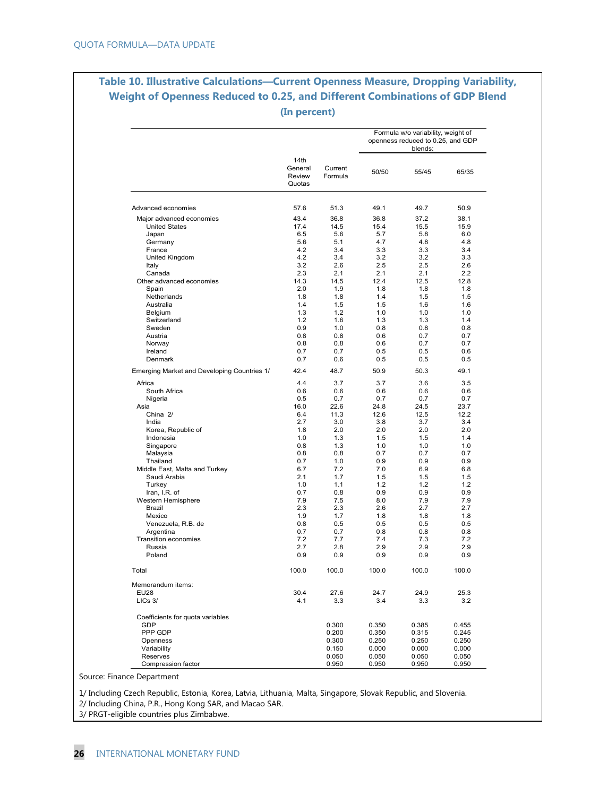### **Table 10. Illustrative Calculations—Current Openness Measure, Dropping Variability, Weight of Openness Reduced to 0.25, and Different Combinations of GDP Blend (In percent)**

|                                             |                                     |                    |             | Formula w/o variability, weight of<br>openness reduced to 0.25, and GDP<br>blends: |             |
|---------------------------------------------|-------------------------------------|--------------------|-------------|------------------------------------------------------------------------------------|-------------|
|                                             | 14th<br>General<br>Review<br>Quotas | Current<br>Formula | 50/50       | 55/45                                                                              | 65/35       |
| Advanced economies                          | 57.6                                | 51.3               | 49.1        | 49.7                                                                               | 50.9        |
| Major advanced economies                    | 43.4                                | 36.8               | 36.8        | 37.2                                                                               | 38.1        |
| <b>United States</b>                        | 17.4                                | 14.5               | 15.4        | 15.5                                                                               | 15.9        |
| Japan                                       | 6.5                                 | 5.6                | 5.7         | 5.8                                                                                | 6.0         |
| Germany                                     | 5.6                                 | 5.1                | 4.7         | 4.8                                                                                | 4.8         |
| France                                      | 4.2                                 | 3.4                | 3.3         | 3.3                                                                                | 3.4         |
| United Kingdom                              | 4.2                                 | 3.4                | 3.2         | 3.2                                                                                | 3.3         |
| Italy                                       | 3.2                                 | 2.6                | 2.5         | 2.5                                                                                | 2.6         |
| Canada                                      | 2.3                                 | 2.1                | 2.1         | 2.1                                                                                | 2.2         |
| Other advanced economies                    | 14.3                                | 14.5               | 12.4        | 12.5                                                                               | 12.8        |
| Spain                                       | 2.0                                 | 1.9                | 1.8         | 1.8                                                                                | 1.8         |
| Netherlands                                 | 1.8                                 | 1.8                | 1.4         | 1.5                                                                                | 1.5         |
| Australia                                   | 1.4                                 | 1.5                | 1.5         | 1.6                                                                                | 1.6         |
| Belgium                                     | 1.3                                 | 1.2                | 1.0         | 1.0                                                                                | 1.0         |
| Switzerland                                 | 1.2                                 | 1.6                | 1.3         | 1.3                                                                                | 1.4         |
| Sweden                                      | 0.9<br>0.8                          | 1.0<br>0.8         | 0.8<br>0.6  | 0.8<br>0.7                                                                         | 0.8<br>0.7  |
| Austria                                     | 0.8                                 | 0.8                | 0.6         | 0.7                                                                                | 0.7         |
| Norway<br>Ireland                           | 0.7                                 | 0.7                | 0.5         | 0.5                                                                                | 0.6         |
| Denmark                                     | 0.7                                 | 0.6                | 0.5         | 0.5                                                                                | 0.5         |
| Emerging Market and Developing Countries 1/ | 42.4                                | 48.7               | 50.9        | 50.3                                                                               | 49.1        |
| Africa                                      | 4.4                                 | 3.7                | 3.7         | 3.6                                                                                | 3.5         |
| South Africa                                | 0.6                                 | 0.6                | 0.6         | 0.6                                                                                | 0.6         |
| Nigeria                                     | 0.5                                 | 0.7                | 0.7         | 0.7                                                                                | 0.7         |
| Asia                                        | 16.0                                | 22.6               | 24.8        | 24.5                                                                               | 23.7        |
| China 2/                                    | 6.4                                 | 11.3               | 12.6        | 12.5                                                                               | 12.2        |
| India                                       | 2.7                                 | 3.0                | 3.8         | 3.7                                                                                | 3.4         |
| Korea, Republic of                          | 1.8                                 | 2.0<br>1.3         | 2.0<br>1.5  | 2.0                                                                                | 2.0         |
| Indonesia                                   | 1.0<br>0.8                          | 1.3                | 1.0         | 1.5<br>1.0                                                                         | 1.4<br>1.0  |
| Singapore<br>Malaysia                       | 0.8                                 | 0.8                | 0.7         | 0.7                                                                                | 0.7         |
| Thailand                                    | 0.7                                 | 1.0                | 0.9         | 0.9                                                                                | 0.9         |
| Middle East, Malta and Turkey               | 6.7                                 | 7.2                | 7.0         | 6.9                                                                                | 6.8         |
| Saudi Arabia                                | 2.1                                 | 1.7                | 1.5         | 1.5                                                                                | 1.5         |
| Turkey                                      | 1.0                                 | 1.1                | 1.2         | 1.2                                                                                | 1.2         |
| Iran, I.R. of                               | 0.7                                 | 0.8                | 0.9         | 0.9                                                                                | 0.9         |
| Western Hemisphere                          | 7.9                                 | 7.5                | 8.0         | 7.9                                                                                | 7.9         |
| Brazil                                      | 2.3                                 | 2.3                | 2.6         | 2.7                                                                                | 2.7         |
| Mexico                                      | 1.9                                 | 1.7                | 1.8         | 1.8                                                                                | 1.8         |
| Venezuela, R.B. de                          | 0.8                                 | 0.5                | 0.5         | 0.5                                                                                | 0.5         |
| Argentina                                   | 0.7                                 | 0.7                | 0.8         | 0.8                                                                                | 0.8         |
| <b>Transition economies</b>                 | 7.2                                 | 7.7                | 7.4         | 7.3                                                                                | 7.2         |
| Russia                                      | 2.7                                 | 2.8                | 2.9         | 2.9                                                                                | 2.9         |
| Poland                                      | 0.9                                 | 0.9                | 0.9         | 0.9                                                                                | 0.9         |
| Total                                       | 100.0                               | 100.0              | 100.0       | 100.0                                                                              | 100.0       |
| Memorandum items:                           |                                     |                    |             |                                                                                    |             |
| <b>EU28</b><br>LICs 3/                      | 30.4<br>4.1                         | 27.6<br>3.3        | 24.7<br>3.4 | 24.9<br>3.3                                                                        | 25.3<br>3.2 |
| Coefficients for quota variables            |                                     |                    |             |                                                                                    |             |
| GDP                                         |                                     | 0.300              | 0.350       | 0.385                                                                              | 0.455       |
| PPP GDP                                     |                                     | 0.200              | 0.350       | 0.315                                                                              | 0.245       |
| Openness                                    |                                     | 0.300              | 0.250       | 0.250                                                                              | 0.250       |
| Variability                                 |                                     | 0.150              | 0.000       | 0.000                                                                              | 0.000       |
| Reserves                                    |                                     | 0.050              | 0.050       | 0.050                                                                              | 0.050       |
| Compression factor                          |                                     | 0.950              | 0.950       | 0.950                                                                              | 0.950       |

Source: Finance Department

1/ Including Czech Republic, Estonia, Korea, Latvia, Lithuania, Malta, Singapore, Slovak Republic, and Slovenia.

2/ Including China, P.R., Hong Kong SAR, and Macao SAR.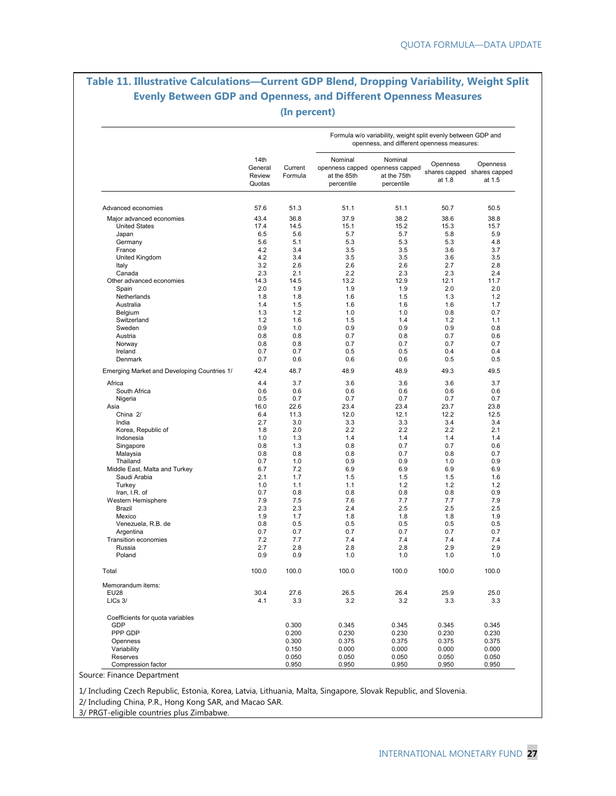### **Table 11. Illustrative Calculations—Current GDP Blend, Dropping Variability, Weight Split Evenly Between GDP and Openness, and Different Openness Measures (In percent)**

|                                                  |                                     |                    |                                                                         | Formula w/o variability, weight split evenly between GDP and<br>openness, and different openness measures: |                                                   |                    |
|--------------------------------------------------|-------------------------------------|--------------------|-------------------------------------------------------------------------|------------------------------------------------------------------------------------------------------------|---------------------------------------------------|--------------------|
|                                                  | 14th<br>General<br>Review<br>Quotas | Current<br>Formula | Nominal<br>openness capped openness capped<br>at the 85th<br>percentile | Nominal<br>at the 75th<br>percentile                                                                       | Openness<br>shares capped shares capped<br>at 1.8 | Openness<br>at 1.5 |
| Advanced economies                               | 57.6                                | 51.3               | 51.1                                                                    | 51.1                                                                                                       | 50.7                                              | 50.5               |
|                                                  |                                     |                    |                                                                         |                                                                                                            |                                                   |                    |
| Major advanced economies<br><b>United States</b> | 43.4<br>17.4                        | 36.8<br>14.5       | 37.9<br>15.1                                                            | 38.2<br>15.2                                                                                               | 38.6<br>15.3                                      | 38.8<br>15.7       |
| Japan                                            | 6.5                                 | 5.6                | 5.7                                                                     | 5.7                                                                                                        | 5.8                                               | 5.9                |
| Germany                                          | 5.6                                 | 5.1                | 5.3                                                                     | 5.3                                                                                                        | 5.3                                               | 4.8                |
| France                                           | 4.2                                 | 3.4                | 3.5                                                                     | 3.5                                                                                                        | 3.6                                               | 3.7                |
| United Kingdom                                   | 4.2                                 | 3.4                | 3.5                                                                     | 3.5                                                                                                        | 3.6                                               | 3.5                |
| Italy                                            | 3.2                                 | 2.6                | 2.6                                                                     | 2.6                                                                                                        | 2.7                                               | 2.8                |
| Canada                                           | 2.3                                 | 2.1                | 2.2                                                                     | 2.3                                                                                                        | 2.3                                               | 2.4                |
| Other advanced economies                         | 14.3                                | 14.5               | 13.2                                                                    | 12.9                                                                                                       | 12.1                                              | 11.7               |
| Spain                                            | 2.0                                 | 1.9                | 1.9                                                                     | 1.9                                                                                                        | 2.0                                               | 2.0                |
| Netherlands                                      | 1.8                                 | 1.8                | 1.6                                                                     | 1.5                                                                                                        | 1.3                                               | 1.2                |
| Australia                                        | 1.4                                 | 1.5                | 1.6                                                                     | 1.6                                                                                                        | 1.6                                               | 1.7                |
| Belgium                                          | 1.3                                 | 1.2                | 1.0                                                                     | 1.0                                                                                                        | 0.8                                               | 0.7                |
| Switzerland                                      | 1.2                                 | 1.6                | 1.5                                                                     | 1.4                                                                                                        | 1.2                                               | 1.1                |
| Sweden                                           | 0.9                                 | 1.0                | 0.9                                                                     | 0.9                                                                                                        | 0.9                                               | 0.8                |
| Austria                                          | 0.8                                 | 0.8                | 0.7                                                                     | 0.8                                                                                                        | 0.7                                               | 0.6                |
| Norway                                           | 0.8                                 | 0.8                | 0.7                                                                     | 0.7                                                                                                        | 0.7                                               | 0.7                |
| Ireland                                          | 0.7                                 | 0.7                | 0.5                                                                     | 0.5                                                                                                        | 0.4                                               | 0.4                |
| Denmark                                          | 0.7                                 | 0.6                | 0.6                                                                     | 0.6                                                                                                        | 0.5                                               | 0.5                |
| Emerging Market and Developing Countries 1/      | 42.4                                | 48.7               | 48.9                                                                    | 48.9                                                                                                       | 49.3                                              | 49.5               |
| Africa                                           | 4.4                                 | 3.7                | 3.6                                                                     | 3.6                                                                                                        | 3.6                                               | 3.7                |
| South Africa                                     | 0.6                                 | 0.6                | 0.6                                                                     | 0.6                                                                                                        | 0.6                                               | 0.6                |
| Nigeria                                          | 0.5                                 | 0.7                | 0.7                                                                     | 0.7                                                                                                        | 0.7                                               | 0.7                |
| Asia                                             | 16.0                                | 22.6               | 23.4                                                                    | 23.4                                                                                                       | 23.7                                              | 23.8               |
| China 2/                                         | 6.4                                 | 11.3               | 12.0                                                                    | 12.1                                                                                                       | 12.2                                              | 12.5               |
| India                                            | 2.7                                 | 3.0                | 3.3                                                                     | 3.3                                                                                                        | 3.4                                               | 3.4                |
| Korea, Republic of                               | 1.8                                 | 2.0                | 2.2                                                                     | 2.2                                                                                                        | 2.2                                               | 2.1                |
| Indonesia                                        | 1.0                                 | 1.3                | 1.4                                                                     | 1.4                                                                                                        | 1.4                                               | 1.4                |
| Singapore                                        | 0.8                                 | 1.3                | 0.8                                                                     | 0.7                                                                                                        | 0.7                                               | 0.6                |
| Malaysia                                         | 0.8                                 | 0.8                | 0.8                                                                     | 0.7                                                                                                        | 0.8                                               | 0.7                |
| Thailand                                         | 0.7                                 | 1.0                | 0.9                                                                     | 0.9                                                                                                        | 1.0                                               | 0.9                |
| Middle East, Malta and Turkey                    | 6.7                                 | 7.2                | 6.9                                                                     | 6.9                                                                                                        | 6.9                                               | 6.9                |
| Saudi Arabia                                     | 2.1                                 | 1.7                | 1.5                                                                     | 1.5                                                                                                        | 1.5                                               | 1.6                |
| Turkey                                           | 1.0                                 | 1.1                | 1.1                                                                     | 1.2                                                                                                        | 1.2                                               | 1.2                |
| Iran, I.R. of                                    | 0.7                                 | 0.8                | 0.8                                                                     | 0.8                                                                                                        | 0.8                                               | 0.9                |
| Western Hemisphere<br>Brazil                     | 7.9<br>2.3                          | 7.5<br>2.3         | 7.6<br>2.4                                                              | 7.7<br>2.5                                                                                                 | 7.7<br>2.5                                        | 7.9<br>2.5         |
| Mexico                                           | 1.9                                 | 1.7                | 1.8                                                                     | 1.8                                                                                                        | 1.8                                               | 1.9                |
| Venezuela, R.B. de                               | 0.8                                 | 0.5                | 0.5                                                                     | 0.5                                                                                                        | 0.5                                               | 0.5                |
| Argentina                                        | 0.7                                 | 0.7                | 0.7                                                                     | 0.7                                                                                                        | 0.7                                               | 0.7                |
| <b>Transition economies</b>                      | 7.2                                 | 7.7                | 7.4                                                                     | 7.4                                                                                                        | 7.4                                               | 7.4                |
| Russia                                           | 2.7                                 | 2.8                | 2.8                                                                     | 2.8                                                                                                        | 2.9                                               | 2.9                |
| Poland                                           | 0.9                                 | 0.9                | 1.0                                                                     | 1.0                                                                                                        | 1.0                                               | 1.0                |
| Total                                            | 100.0                               | 100.0              | 100.0                                                                   | 100.0                                                                                                      | 100.0                                             | 100.0              |
| Memorandum items:                                |                                     |                    |                                                                         |                                                                                                            |                                                   |                    |
| <b>EU28</b>                                      | 30.4                                | 27.6               | 26.5                                                                    | 26.4                                                                                                       | 25.9                                              | 25.0               |
| LICs 3/                                          | 4.1                                 | 3.3                | 3.2                                                                     | 3.2                                                                                                        | 3.3                                               | 3.3                |
| Coefficients for quota variables                 |                                     |                    |                                                                         |                                                                                                            |                                                   |                    |
| <b>GDP</b>                                       |                                     | 0.300              | 0.345                                                                   | 0.345                                                                                                      | 0.345                                             | 0.345              |
| PPP GDP                                          |                                     | 0.200              | 0.230                                                                   | 0.230                                                                                                      | 0.230                                             | 0.230              |
| Openness                                         |                                     | 0.300              | 0.375                                                                   | 0.375                                                                                                      | 0.375                                             | 0.375              |
| Variability                                      |                                     | 0.150              | 0.000                                                                   | 0.000                                                                                                      | 0.000                                             | 0.000              |
| Reserves                                         |                                     | 0.050              | 0.050                                                                   | 0.050                                                                                                      | 0.050                                             | 0.050              |
| Compression factor                               |                                     | 0.950              | 0.950                                                                   | 0.950                                                                                                      | 0.950                                             | 0.950              |

Source: Finance Department

1/ Including Czech Republic, Estonia, Korea, Latvia, Lithuania, Malta, Singapore, Slovak Republic, and Slovenia.

2/ Including China, P.R., Hong Kong SAR, and Macao SAR.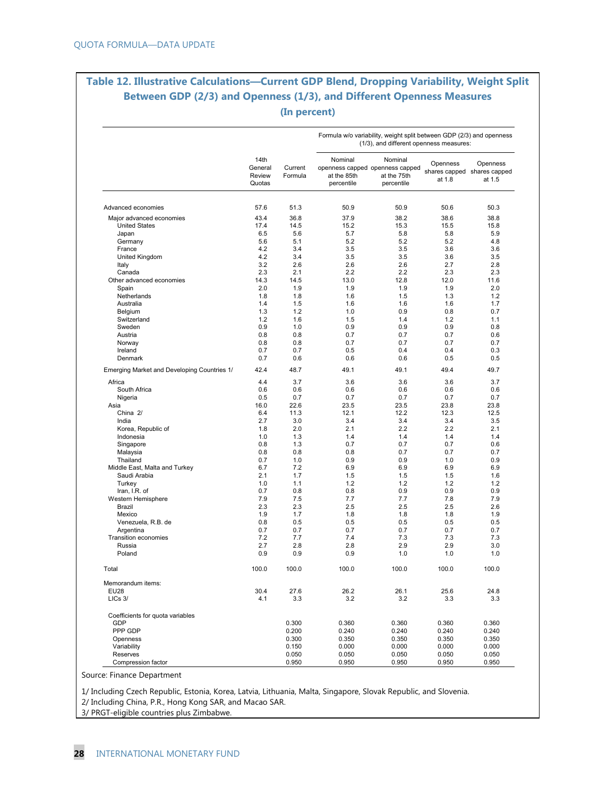### **Table 12. Illustrative Calculations—Current GDP Blend, Dropping Variability, Weight Split Between GDP (2/3) and Openness (1/3), and Different Openness Measures (In percent)**

|                                             |                                     |                    |                                      | Formula w/o variability, weight split between GDP (2/3) and openness<br>(1/3), and different openness measures: |                                                   |                    |
|---------------------------------------------|-------------------------------------|--------------------|--------------------------------------|-----------------------------------------------------------------------------------------------------------------|---------------------------------------------------|--------------------|
|                                             | 14th<br>General<br>Review<br>Quotas | Current<br>Formula | Nominal<br>at the 85th<br>percentile | Nominal<br>openness capped openness capped<br>at the 75th<br>percentile                                         | Openness<br>shares capped shares capped<br>at 1.8 | Openness<br>at 1.5 |
| Advanced economies                          | 57.6                                | 51.3               | 50.9                                 | 50.9                                                                                                            | 50.6                                              | 50.3               |
| Major advanced economies                    | 43.4                                | 36.8               | 37.9                                 | 38.2                                                                                                            | 38.6                                              | 38.8               |
| <b>United States</b>                        | 17.4                                | 14.5               | 15.2                                 | 15.3                                                                                                            | 15.5                                              | 15.8               |
| Japan                                       | 6.5                                 | 5.6                | 5.7                                  | 5.8                                                                                                             | 5.8                                               | 5.9                |
| Germany                                     | 5.6                                 | 5.1                | 5.2                                  | 5.2                                                                                                             | 5.2                                               | 4.8                |
| France                                      | 4.2                                 | 3.4                | 3.5                                  | 3.5                                                                                                             | 3.6                                               | 3.6                |
| United Kingdom                              | 4.2                                 | 3.4                | 3.5                                  | 3.5                                                                                                             | 3.6                                               | 3.5                |
| Italy                                       | 3.2                                 | 2.6                | 2.6                                  | 2.6                                                                                                             | 2.7                                               | 2.8                |
| Canada                                      | 2.3                                 | 2.1                | 2.2                                  | 2.2                                                                                                             | 2.3                                               | 2.3                |
| Other advanced economies                    | 14.3                                | 14.5               | 13.0                                 | 12.8                                                                                                            | 12.0                                              | 11.6               |
| Spain                                       | 2.0                                 | 1.9                | 1.9                                  | 1.9                                                                                                             | 1.9                                               | 2.0                |
| Netherlands                                 | 1.8                                 | 1.8                | 1.6                                  | 1.5                                                                                                             | 1.3                                               | 1.2                |
| Australia                                   | 1.4                                 | 1.5                | 1.6                                  | 1.6                                                                                                             | 1.6                                               | 1.7                |
| Belgium                                     | 1.3                                 | 1.2                | 1.0                                  | 0.9                                                                                                             | 0.8                                               | 0.7                |
| Switzerland                                 | 1.2                                 | 1.6                | 1.5                                  | 1.4                                                                                                             | 1.2                                               | 1.1                |
| Sweden                                      | 0.9                                 | 1.0                | 0.9                                  | 0.9                                                                                                             | 0.9                                               | 0.8                |
| Austria                                     | 0.8                                 | 0.8                | 0.7                                  | 0.7                                                                                                             | 0.7                                               | 0.6                |
| Norway                                      | 0.8                                 | 0.8                | 0.7                                  | 0.7                                                                                                             | 0.7                                               | 0.7                |
| Ireland                                     | 0.7                                 | 0.7                | 0.5                                  | 0.4                                                                                                             | 0.4                                               | 0.3                |
| Denmark                                     | 0.7                                 | 0.6                | 0.6                                  | 0.6                                                                                                             | 0.5                                               | 0.5                |
| Emerging Market and Developing Countries 1/ | 42.4                                | 48.7               | 49.1                                 | 49.1                                                                                                            | 49.4                                              | 49.7               |
| Africa                                      | 4.4                                 | 3.7                | 3.6                                  | 3.6                                                                                                             | 3.6                                               | 3.7                |
| South Africa                                | 0.6                                 | 0.6                | 0.6                                  | 0.6                                                                                                             | 0.6                                               | 0.6                |
| Nigeria                                     | 0.5                                 | 0.7                | 0.7                                  | 0.7                                                                                                             | 0.7                                               | 0.7                |
| Asia                                        | 16.0                                | 22.6               | 23.5                                 | 23.5                                                                                                            | 23.8                                              | 23.8               |
| China 2/                                    | 6.4                                 | 11.3               | 12.1                                 | 12.2                                                                                                            | 12.3                                              | 12.5               |
| India                                       | 2.7                                 | 3.0                | 3.4                                  | 3.4                                                                                                             | 3.4                                               | 3.5                |
| Korea, Republic of                          | 1.8                                 | 2.0                | 2.1                                  | 2.2                                                                                                             | 2.2                                               | 2.1                |
| Indonesia                                   | 1.0                                 | 1.3                | 1.4                                  | 1.4                                                                                                             | 1.4                                               | 1.4                |
| Singapore                                   | 0.8                                 | 1.3                | 0.7                                  | 0.7                                                                                                             | 0.7                                               | 0.6                |
| Malaysia                                    | 0.8                                 | 0.8                | 0.8                                  | 0.7                                                                                                             | 0.7                                               | 0.7                |
| Thailand                                    | 0.7                                 | 1.0                | 0.9                                  | 0.9                                                                                                             | 1.0                                               | 0.9                |
| Middle East, Malta and Turkey               | 6.7                                 | 7.2                | 6.9                                  | 6.9                                                                                                             | 6.9                                               | 6.9                |
| Saudi Arabia                                | 2.1                                 | 1.7                | 1.5                                  | 1.5                                                                                                             | 1.5                                               | 1.6                |
| Turkey                                      | 1.0                                 | 1.1                | 1.2                                  | 1.2                                                                                                             | 1.2                                               | 1.2                |
| Iran, I.R. of                               | 0.7                                 | 0.8                | 0.8                                  | 0.9                                                                                                             | 0.9                                               | 0.9                |
| Western Hemisphere                          | 7.9                                 | 7.5                | 7.7                                  | 7.7                                                                                                             | 7.8                                               | 7.9                |
| Brazil<br>Mexico                            | 2.3<br>1.9                          | 2.3<br>1.7         | 2.5<br>1.8                           | 2.5<br>1.8                                                                                                      | 2.5<br>1.8                                        | 2.6<br>1.9         |
| Venezuela, R.B. de                          | 0.8                                 | 0.5                | 0.5                                  | 0.5                                                                                                             | 0.5                                               | 0.5                |
| Argentina                                   | 0.7                                 | 0.7                | 0.7                                  | 0.7                                                                                                             | 0.7                                               | 0.7                |
| Transition economies                        | 7.2                                 | 7.7                | 7.4                                  | 7.3                                                                                                             | 7.3                                               | 7.3                |
| Russia                                      | 2.7                                 | 2.8                | 2.8                                  | 2.9                                                                                                             | 2.9                                               | 3.0                |
| Poland                                      | 0.9                                 | 0.9                | 0.9                                  | 1.0                                                                                                             | 1.0                                               | 1.0                |
| Total                                       | 100.0                               | 100.0              | 100.0                                | 100.0                                                                                                           | 100.0                                             | 100.0              |
| Memorandum items:                           |                                     |                    |                                      |                                                                                                                 |                                                   |                    |
| <b>EU28</b>                                 | 30.4                                | 27.6               | 26.2                                 | 26.1                                                                                                            | 25.6                                              | 24.8               |
| LICs 3/                                     | 4.1                                 | 3.3                | 3.2                                  | 3.2                                                                                                             | 3.3                                               | 3.3                |
| Coefficients for quota variables            |                                     |                    |                                      |                                                                                                                 |                                                   |                    |
| GDP                                         |                                     | 0.300              | 0.360                                | 0.360                                                                                                           | 0.360                                             | 0.360              |
| PPP GDP                                     |                                     | 0.200              | 0.240                                | 0.240                                                                                                           | 0.240                                             | 0.240              |
| Openness                                    |                                     | 0.300              | 0.350                                | 0.350                                                                                                           | 0.350                                             | 0.350              |
| Variability                                 |                                     | 0.150              | 0.000                                | 0.000                                                                                                           | 0.000                                             | 0.000              |
| Reserves<br>Compression factor              |                                     | 0.050<br>0.950     | 0.050<br>0.950                       | 0.050<br>0.950                                                                                                  | 0.050<br>0.950                                    | 0.050<br>0.950     |

Source: Finance Department

1/ Including Czech Republic, Estonia, Korea, Latvia, Lithuania, Malta, Singapore, Slovak Republic, and Slovenia.

2/ Including China, P.R., Hong Kong SAR, and Macao SAR.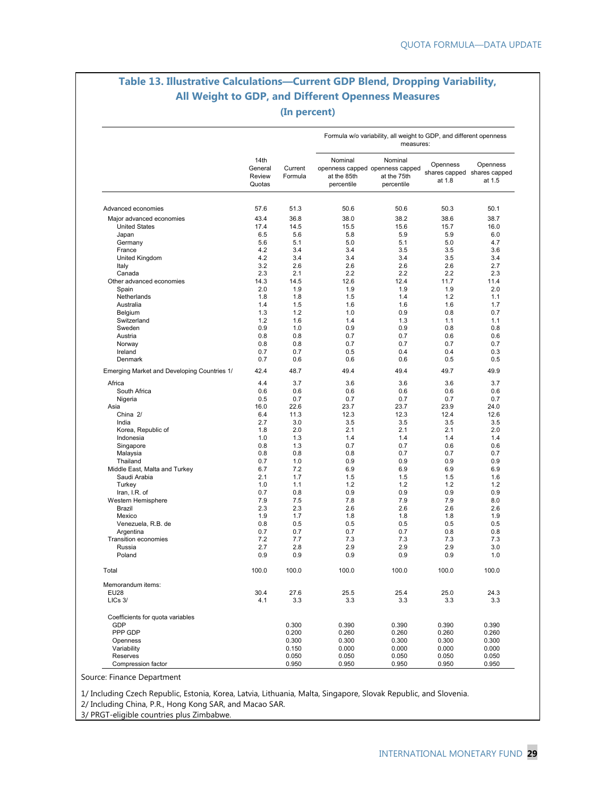### **Table 13. Illustrative Calculations—Current GDP Blend, Dropping Variability, All Weight to GDP, and Different Openness Measures (In percent)**

|                                             |                                     |                    |                                      | Formula w/o variability, all weight to GDP, and different openness<br>measures: |                                                   |                    |
|---------------------------------------------|-------------------------------------|--------------------|--------------------------------------|---------------------------------------------------------------------------------|---------------------------------------------------|--------------------|
|                                             | 14th<br>General<br>Review<br>Quotas | Current<br>Formula | Nominal<br>at the 85th<br>percentile | Nominal<br>openness capped openness capped<br>at the 75th<br>percentile         | Openness<br>shares capped shares capped<br>at 1.8 | Openness<br>at 1.5 |
| Advanced economies                          | 57.6                                | 51.3               | 50.6                                 | 50.6                                                                            | 50.3                                              | 50.1               |
|                                             |                                     |                    |                                      |                                                                                 |                                                   |                    |
| Major advanced economies                    | 43.4                                | 36.8               | 38.0                                 | 38.2                                                                            | 38.6                                              | 38.7               |
| <b>United States</b>                        | 17.4                                | 14.5               | 15.5                                 | 15.6                                                                            | 15.7                                              | 16.0               |
| Japan                                       | 6.5                                 | 5.6                | 5.8                                  | 5.9                                                                             | 5.9                                               | 6.0                |
| Germany                                     | 5.6                                 | 5.1                | 5.0                                  | 5.1                                                                             | 5.0                                               | 4.7                |
| France                                      | 4.2                                 | 3.4                | 3.4                                  | 3.5                                                                             | 3.5                                               | 3.6                |
| United Kingdom                              | 4.2                                 | 3.4                | 3.4                                  | 3.4                                                                             | 3.5                                               | 3.4                |
| Italy                                       | 3.2                                 | 2.6                | 2.6                                  | 2.6                                                                             | 2.6                                               | 2.7                |
| Canada                                      | 2.3                                 | 2.1                | 2.2                                  | 2.2                                                                             | 2.2                                               | 2.3                |
| Other advanced economies                    | 14.3                                | 14.5               | 12.6                                 | 12.4                                                                            | 11.7                                              | 11.4               |
| Spain                                       | 2.0                                 | 1.9                | 1.9                                  | 1.9                                                                             | 1.9                                               | 2.0                |
| Netherlands                                 | 1.8                                 | 1.8                | 1.5                                  | 1.4                                                                             | 1.2                                               | 1.1                |
| Australia                                   | 1.4                                 | 1.5                | 1.6                                  | 1.6                                                                             | 1.6                                               | 1.7                |
| Belgium                                     | 1.3                                 | 1.2                | 1.0                                  | 0.9                                                                             | 0.8                                               | 0.7                |
| Switzerland                                 | 1.2                                 | 1.6                | 1.4                                  | 1.3                                                                             | 1.1                                               | 1.1                |
| Sweden                                      | 0.9                                 | 1.0                | 0.9                                  | 0.9                                                                             | 0.8                                               | 0.8                |
| Austria                                     | 0.8                                 | 0.8                | 0.7                                  | 0.7                                                                             | 0.6                                               | 0.6                |
| Norway                                      | 0.8                                 | 0.8                | 0.7                                  | 0.7                                                                             | 0.7                                               | 0.7                |
| Ireland                                     | 0.7                                 | 0.7                | 0.5                                  | 0.4                                                                             | 0.4                                               | 0.3                |
| Denmark                                     | 0.7                                 | 0.6                | 0.6                                  | 0.6                                                                             | 0.5                                               | 0.5                |
| Emerging Market and Developing Countries 1/ | 42.4                                | 48.7               | 49.4                                 | 49.4                                                                            | 49.7                                              | 49.9               |
| Africa                                      | 4.4                                 | 3.7                | 3.6                                  | 3.6                                                                             | 3.6                                               | 3.7                |
| South Africa                                | 0.6                                 | 0.6                | 0.6                                  | 0.6                                                                             | 0.6                                               | 0.6                |
| Nigeria                                     | 0.5                                 | 0.7                | 0.7                                  | 0.7                                                                             | 0.7                                               | 0.7                |
| Asia                                        | 16.0                                | 22.6               | 23.7                                 | 23.7                                                                            | 23.9                                              | 24.0               |
| China 2/                                    | 6.4                                 | 11.3               | 12.3                                 | 12.3                                                                            | 12.4                                              | 12.6               |
| India                                       | 2.7                                 | 3.0                | 3.5                                  | 3.5                                                                             | 3.5                                               | 3.5                |
| Korea, Republic of                          | 1.8                                 | 2.0                | 2.1                                  | 2.1                                                                             | 2.1                                               | 2.0                |
| Indonesia                                   | 1.0                                 | 1.3                | 1.4                                  | 1.4                                                                             | 1.4                                               | 1.4                |
|                                             | 0.8                                 | 1.3                | 0.7                                  | 0.7                                                                             | 0.6                                               |                    |
| Singapore                                   | 0.8                                 | 0.8                | 0.8                                  |                                                                                 | 0.7                                               | 0.6                |
| Malaysia                                    |                                     |                    |                                      | 0.7                                                                             |                                                   | 0.7                |
| Thailand                                    | 0.7                                 | 1.0                | 0.9                                  | 0.9                                                                             | 0.9                                               | 0.9                |
| Middle East, Malta and Turkey               | 6.7                                 | 7.2                | 6.9                                  | 6.9                                                                             | 6.9                                               | 6.9                |
| Saudi Arabia                                | 2.1                                 | 1.7                | 1.5                                  | 1.5                                                                             | 1.5                                               | 1.6                |
| Turkey                                      | 1.0                                 | 1.1                | 1.2                                  | 1.2                                                                             | 1.2                                               | 1.2                |
| Iran, I.R. of                               | 0.7                                 | 0.8                | 0.9                                  | 0.9                                                                             | 0.9                                               | 0.9                |
| Western Hemisphere                          | 7.9                                 | 7.5                | 7.8                                  | 7.9                                                                             | 7.9                                               | 8.0                |
| Brazil                                      | 2.3                                 | 2.3                | 2.6                                  | 2.6                                                                             | 2.6                                               | 2.6                |
| Mexico                                      | 1.9                                 | 1.7                | 1.8                                  | 1.8                                                                             | 1.8                                               | 1.9                |
| Venezuela, R.B. de                          | 0.8                                 | 0.5                | 0.5                                  | 0.5                                                                             | 0.5                                               | 0.5                |
| Argentina                                   | 0.7                                 | 0.7                | 0.7                                  | 0.7                                                                             | 0.8                                               | 0.8                |
| Transition economies                        | 7.2                                 | 7.7                | 7.3                                  | 7.3                                                                             | 7.3                                               | 7.3                |
| Russia                                      | 2.7                                 | 2.8                | 2.9                                  | 2.9                                                                             | 2.9                                               | 3.0                |
| Poland                                      | 0.9                                 | 0.9                | 0.9                                  | 0.9                                                                             | 0.9                                               | 1.0                |
| Total                                       | 100.0                               | 100.0              | 100.0                                | 100.0                                                                           | 100.0                                             | 100.0              |
| Memorandum items:                           |                                     |                    |                                      |                                                                                 |                                                   |                    |
| <b>EU28</b>                                 | 30.4                                | 27.6               | 25.5                                 | 25.4                                                                            | 25.0                                              | 24.3               |
| LICs 3/                                     | 4.1                                 | 3.3                | 3.3                                  | 3.3                                                                             | 3.3                                               | 3.3                |
| Coefficients for quota variables            |                                     |                    |                                      |                                                                                 |                                                   |                    |
| GDP                                         |                                     | 0.300              | 0.390                                | 0.390                                                                           | 0.390                                             | 0.390              |
| PPP GDP                                     |                                     | 0.200              | 0.260                                | 0.260                                                                           | 0.260                                             | 0.260              |
| Openness                                    |                                     | 0.300              | 0.300                                | 0.300                                                                           | 0.300                                             | 0.300              |
| Variability                                 |                                     | 0.150              | 0.000                                | 0.000                                                                           | 0.000                                             | 0.000              |
| Reserves                                    |                                     | 0.050              | 0.050                                | 0.050                                                                           | 0.050                                             | 0.050              |
| Compression factor                          |                                     | 0.950              | 0.950                                | 0.950                                                                           | 0.950                                             | 0.950              |
|                                             |                                     |                    |                                      |                                                                                 |                                                   |                    |

Source: Finance Department

1/ Including Czech Republic, Estonia, Korea, Latvia, Lithuania, Malta, Singapore, Slovak Republic, and Slovenia.

2/ Including China, P.R., Hong Kong SAR, and Macao SAR.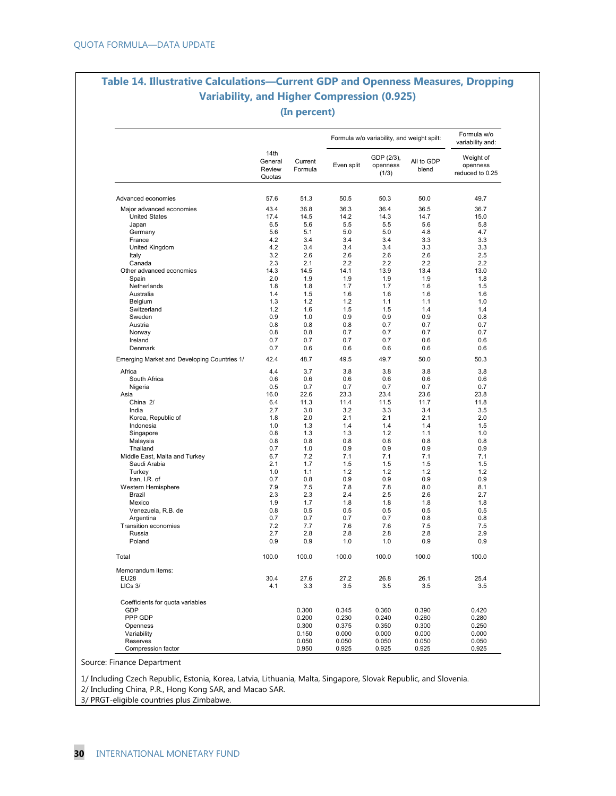### **Table 14. Illustrative Calculations—Current GDP and Openness Measures, Dropping Variability, and Higher Compression (0.925) (In percent)**

|                                             | 14th<br>General  |                    |            | Formula w/o variability, and weight spilt: |                     | Formula w/o<br>variability and:          |
|---------------------------------------------|------------------|--------------------|------------|--------------------------------------------|---------------------|------------------------------------------|
|                                             | Review<br>Quotas | Current<br>Formula | Even split | GDP (2/3),<br>openness<br>(1/3)            | All to GDP<br>blend | Weight of<br>openness<br>reduced to 0.25 |
| Advanced economies                          | 57.6             | 51.3               | 50.5       | 50.3                                       | 50.0                | 49.7                                     |
| Major advanced economies                    | 43.4             | 36.8               | 36.3       | 36.4                                       | 36.5                | 36.7                                     |
| <b>United States</b>                        | 17.4             | 14.5               | 14.2       | 14.3                                       | 14.7                | 15.0                                     |
| Japan                                       | 6.5              | 5.6                | 5.5        | 5.5                                        | 5.6                 | 5.8                                      |
| Germany                                     | 5.6              | 5.1                | 5.0        | 5.0                                        | 4.8                 | 4.7                                      |
| France                                      | 4.2              | 3.4                | 3.4        | 3.4                                        | 3.3                 | 3.3                                      |
| United Kingdom                              | 4.2              | 3.4                | 3.4        | 3.4                                        | 3.3                 | 3.3                                      |
| Italy                                       | 3.2              | 2.6                | 2.6        | 2.6                                        | 2.6                 | 2.5                                      |
| Canada                                      | 2.3              | 2.1                | 2.2        | 2.2                                        | 2.2                 | 2.2                                      |
| Other advanced economies                    | 14.3             | 14.5               | 14.1       | 13.9                                       | 13.4                | 13.0                                     |
| Spain                                       | 2.0              | 1.9                | 1.9        | 1.9                                        | 1.9                 | 1.8                                      |
| Netherlands                                 | 1.8              | 1.8                | 1.7        | 1.7                                        | 1.6                 | 1.5                                      |
| Australia                                   | 1.4              | 1.5                | 1.6        | 1.6                                        | 1.6                 | 1.6                                      |
| Belgium                                     | 1.3              | 1.2                | 1.2        | 1.1                                        | 1.1                 | 1.0                                      |
| Switzerland                                 | 1.2              | 1.6                | 1.5        | 1.5                                        | 1.4                 | 1.4                                      |
| Sweden                                      | 0.9              | 1.0                | 0.9        | 0.9                                        | 0.9                 | 0.8                                      |
| Austria                                     | 0.8              | 0.8                | 0.8        | 0.7                                        | 0.7                 | 0.7                                      |
| Norway                                      | 0.8              | 0.8                | 0.7        | 0.7                                        | 0.7                 | 0.7                                      |
| Ireland                                     | 0.7              | 0.7                | 0.7        | 0.7                                        | 0.6                 | 0.6                                      |
| Denmark                                     | 0.7              | 0.6                | 0.6        | 0.6                                        | 0.6                 | 0.6                                      |
| Emerging Market and Developing Countries 1/ | 42.4             | 48.7               | 49.5       | 49.7                                       | 50.0                | 50.3                                     |
| Africa                                      | 4.4              | 3.7                | 3.8        | 3.8                                        | 3.8                 | 3.8                                      |
| South Africa                                | 0.6              | 0.6                | 0.6        | 0.6                                        | 0.6                 | 0.6                                      |
| Nigeria                                     | 0.5              | 0.7                | 0.7        | 0.7                                        | 0.7                 | 0.7                                      |
| Asia                                        | 16.0             | 22.6               | 23.3       | 23.4                                       | 23.6                | 23.8                                     |
| China 2/                                    | 6.4              | 11.3               | 11.4       | 11.5                                       | 11.7                | 11.8                                     |
| India                                       | 2.7              | 3.0                | 3.2        | 3.3                                        | 3.4                 | 3.5                                      |
| Korea, Republic of                          | 1.8              | 2.0                | 2.1        | 2.1                                        | 2.1                 | 2.0                                      |
| Indonesia                                   | 1.0              | 1.3                | 1.4        | 1.4                                        | 1.4                 | 1.5                                      |
| Singapore                                   | 0.8              | 1.3                | 1.3        | 1.2                                        | 1.1                 | 1.0                                      |
| Malaysia                                    | 0.8              | 0.8                | 0.8        | 0.8                                        | 0.8                 | 0.8                                      |
| Thailand                                    | 0.7              | 1.0                | 0.9        | 0.9                                        | 0.9                 | 0.9                                      |
| Middle East, Malta and Turkey               | 6.7              | 7.2                | 7.1        | 7.1                                        | 7.1                 | 7.1                                      |
| Saudi Arabia                                | 2.1              | 1.7                | 1.5        | 1.5                                        | 1.5                 | 1.5                                      |
| Turkey                                      | 1.0              | 1.1                | 1.2        | 1.2                                        | 1.2                 | 1.2                                      |
| Iran, I.R. of                               | 0.7              | 0.8                | 0.9        | 0.9                                        | 0.9                 | 0.9                                      |
| Western Hemisphere                          | 7.9              | 7.5                | 7.8        | 7.8                                        | 8.0                 | 8.1                                      |
| Brazil                                      | 2.3              | 2.3                | 2.4        | 2.5                                        | 2.6                 | 2.7                                      |
| Mexico                                      | 1.9              | 1.7                | 1.8        | 1.8                                        | 1.8                 | 1.8                                      |
| Venezuela, R.B. de                          | 0.8              | 0.5                | 0.5        | 0.5                                        | 0.5                 | 0.5                                      |
| Argentina                                   | 0.7              | 0.7                | 0.7        | 0.7                                        | 0.8                 | 0.8                                      |
| <b>Transition economies</b><br>Russia       | 7.2<br>2.7       | 7.7<br>2.8         | 7.6<br>2.8 | 7.6<br>2.8                                 | 7.5<br>2.8          | 7.5<br>2.9                               |
| Poland                                      | 0.9              | 0.9                | 1.0        | 1.0                                        | 0.9                 | 0.9                                      |
| Total                                       | 100.0            | 100.0              | 100.0      | 100.0                                      | 100.0               | 100.0                                    |
| Memorandum items:                           |                  |                    |            |                                            |                     |                                          |
| <b>EU28</b>                                 | 30.4             | 27.6               | 27.2       | 26.8                                       | 26.1                | 25.4                                     |
| LICs 3/                                     | 4.1              | 3.3                | 3.5        | 3.5                                        | 3.5                 | 3.5                                      |
| Coefficients for quota variables            |                  |                    |            |                                            |                     |                                          |
| GDP                                         |                  | 0.300              | 0.345      | 0.360                                      | 0.390               | 0.420                                    |
| PPP GDP                                     |                  | 0.200              | 0.230      | 0.240                                      | 0.260               | 0.280                                    |
| Openness                                    |                  | 0.300              | 0.375      | 0.350                                      | 0.300               | 0.250                                    |
| Variability                                 |                  | 0.150              | 0.000      | 0.000                                      | 0.000               | 0.000                                    |
| Reserves                                    |                  | 0.050              | 0.050      | 0.050                                      | 0.050               | 0.050                                    |
| Compression factor                          |                  | 0.950              | 0.925      | 0.925                                      | 0.925               | 0.925                                    |

Source: Finance Department

1/ Including Czech Republic, Estonia, Korea, Latvia, Lithuania, Malta, Singapore, Slovak Republic, and Slovenia.

2/ Including China, P.R., Hong Kong SAR, and Macao SAR.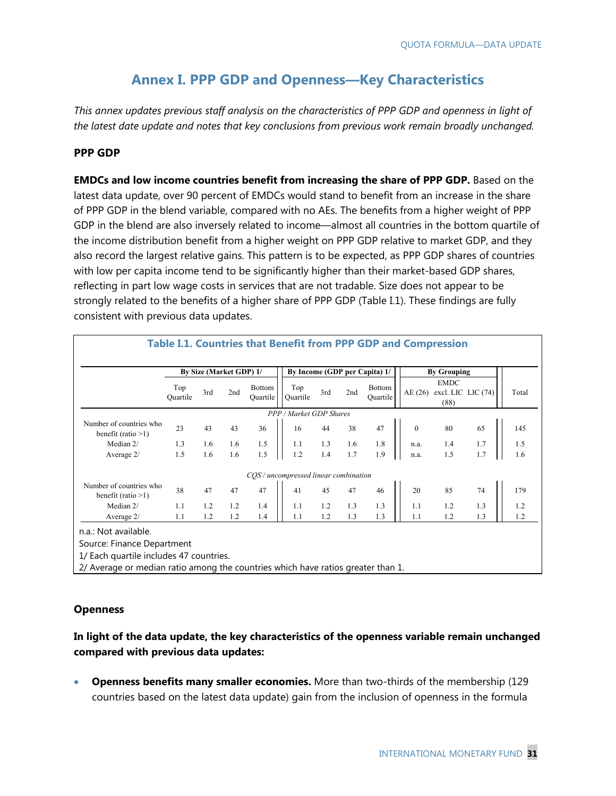# **Annex I. PPP GDP and Openness—Key Characteristics**

*This annex updates previous staff analysis on the characteristics of PPP GDP and openness in light of the latest date update and notes that key conclusions from previous work remain broadly unchanged.* 

#### **PPP GDP**

**EMDCs and low income countries benefit from increasing the share of PPP GDP.** Based on the latest data update, over 90 percent of EMDCs would stand to benefit from an increase in the share of PPP GDP in the blend variable, compared with no AEs. The benefits from a higher weight of PPP GDP in the blend are also inversely related to income—almost all countries in the bottom quartile of the income distribution benefit from a higher weight on PPP GDP relative to market GDP, and they also record the largest relative gains. This pattern is to be expected, as PPP GDP shares of countries with low per capita income tend to be significantly higher than their market-based GDP shares, reflecting in part low wage costs in services that are not tradable. Size does not appear to be strongly related to the benefits of a higher share of PPP GDP (Table I.1). These findings are fully consistent with previous data updates.

|                                                  |                 |     | By Size (Market GDP) 1/ |                                  | By Income (GDP per Capita) 1/         |     |     |                           | <b>By Grouping</b> |                                           |     |       |
|--------------------------------------------------|-----------------|-----|-------------------------|----------------------------------|---------------------------------------|-----|-----|---------------------------|--------------------|-------------------------------------------|-----|-------|
|                                                  | Top<br>Ouartile | 3rd | 2nd                     | <b>Bottom</b><br><b>Quartile</b> | Top<br>Ouartile                       | 3rd | 2nd | <b>Bottom</b><br>Ouartile | AE (26)            | <b>EMDC</b><br>excl. LIC LIC (74)<br>(88) |     | Total |
|                                                  |                 |     |                         |                                  | PPP / Market GDP Shares               |     |     |                           |                    |                                           |     |       |
| Number of countries who<br>benefit (ratio $>1$ ) | 23              | 43  | 43                      | 36                               | 16                                    | 44  | 38  | 47                        | $\mathbf{0}$       | 80                                        | 65  | 145   |
| Median 2/                                        | 1.3             | 1.6 | 1.6                     | 1.5                              | 1.1                                   | 1.3 | 1.6 | 1.8                       | n.a.               | 1.4                                       | 1.7 | 1.5   |
| Average 2/                                       | 1.5             | 1.6 | 1.6                     | 1.5                              | 1.2                                   | 1.4 | 1.7 | 1.9                       | n.a.               | 1.5                                       | 1.7 | 1.6   |
|                                                  |                 |     |                         |                                  | COS / uncompressed linear combination |     |     |                           |                    |                                           |     |       |
| Number of countries who<br>benefit (ratio $>1$ ) | 38              | 47  | 47                      | 47                               | 41                                    | 45  | 47  | 46                        | 20                 | 85                                        | 74  | 179   |
| Median 2/                                        | 1.1             | 1.2 | 1.2                     | 1.4                              | 1.1                                   | 1.2 | 1.3 | 1.3                       | 1.1                | 1.2                                       | 1.3 | 1.2   |
| Average 2/                                       | 1.1             | 1.2 | 1.2                     | 1.4                              | 1.1                                   | 1.2 | 1.3 | 1.3                       | 1.1                | 1.2                                       | 1.3 | 1.2   |

#### **Openness**

#### **In light of the data update, the key characteristics of the openness variable remain unchanged compared with previous data updates:**

 **Openness benefits many smaller economies.** More than two-thirds of the membership (129 countries based on the latest data update) gain from the inclusion of openness in the formula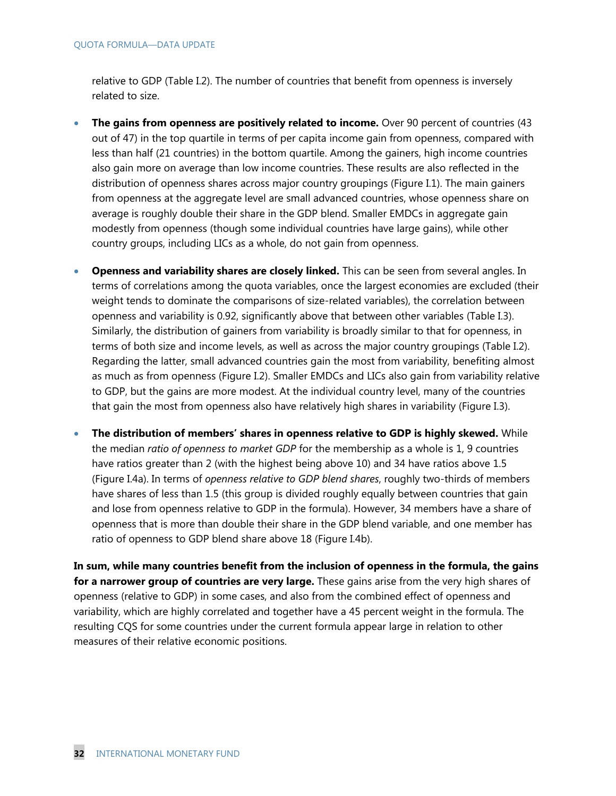relative to GDP (Table I.2). The number of countries that benefit from openness is inversely related to size.

- **The gains from openness are positively related to income.** Over 90 percent of countries (43 out of 47) in the top quartile in terms of per capita income gain from openness, compared with less than half (21 countries) in the bottom quartile. Among the gainers, high income countries also gain more on average than low income countries. These results are also reflected in the distribution of openness shares across major country groupings (Figure I.1). The main gainers from openness at the aggregate level are small advanced countries, whose openness share on average is roughly double their share in the GDP blend. Smaller EMDCs in aggregate gain modestly from openness (though some individual countries have large gains), while other country groups, including LICs as a whole, do not gain from openness.
- **Openness and variability shares are closely linked.** This can be seen from several angles. In terms of correlations among the quota variables, once the largest economies are excluded (their weight tends to dominate the comparisons of size-related variables), the correlation between openness and variability is 0.92, significantly above that between other variables (Table I.3). Similarly, the distribution of gainers from variability is broadly similar to that for openness, in terms of both size and income levels, as well as across the major country groupings (Table I.2). Regarding the latter, small advanced countries gain the most from variability, benefiting almost as much as from openness (Figure I.2). Smaller EMDCs and LICs also gain from variability relative to GDP, but the gains are more modest. At the individual country level, many of the countries that gain the most from openness also have relatively high shares in variability (Figure I.3).
- **The distribution of members' shares in openness relative to GDP is highly skewed.** While the median *ratio of openness to market GDP* for the membership as a whole is 1, 9 countries have ratios greater than 2 (with the highest being above 10) and 34 have ratios above 1.5 (Figure I.4a). In terms of *openness relative to GDP blend shares*, roughly two-thirds of members have shares of less than 1.5 (this group is divided roughly equally between countries that gain and lose from openness relative to GDP in the formula). However, 34 members have a share of openness that is more than double their share in the GDP blend variable, and one member has ratio of openness to GDP blend share above 18 (Figure I.4b).

**In sum, while many countries benefit from the inclusion of openness in the formula, the gains for a narrower group of countries are very large.** These gains arise from the very high shares of openness (relative to GDP) in some cases, and also from the combined effect of openness and variability, which are highly correlated and together have a 45 percent weight in the formula. The resulting CQS for some countries under the current formula appear large in relation to other measures of their relative economic positions.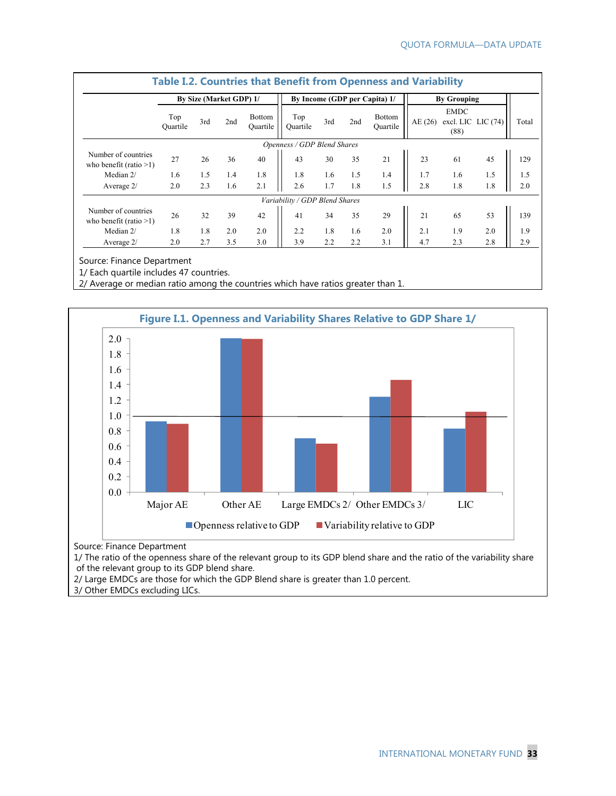|                                                  | By Size (Market GDP) 1/ |     |     |                           |                                |     |     | By Income (GDP per Capita) 1/ | <b>By Grouping</b> |                                             |     |       |
|--------------------------------------------------|-------------------------|-----|-----|---------------------------|--------------------------------|-----|-----|-------------------------------|--------------------|---------------------------------------------|-----|-------|
|                                                  | Top<br>Ouartile         | 3rd | 2nd | <b>Bottom</b><br>Ouartile | Top<br>Ouartile                | 3rd | 2nd | Bottom<br>Ouartile            | AE(26)             | <b>EMDC</b><br>excl. LIC LIC $(74)$<br>(88) |     | Total |
|                                                  |                         |     |     |                           | Openness / GDP Blend Shares    |     |     |                               |                    |                                             |     |       |
| Number of countries<br>who benefit (ratio $>1$ ) | 27                      | 26  | 36  | 40                        | 43                             | 30  | 35  | 21                            | 23                 | 61                                          | 45  | 129   |
| Median 2/                                        | 1.6                     | 1.5 | 1.4 | 1.8                       | 1.8                            | 1.6 | 1.5 | 1.4                           | 1.7                | 1.6                                         | 1.5 | 1.5   |
| Average $2/$                                     | 2.0                     | 2.3 | 1.6 | 2.1                       | 2.6                            | 1.7 | 1.8 | 1.5                           | 2.8                | 1.8                                         | 1.8 | 2.0   |
|                                                  |                         |     |     |                           | Variability / GDP Blend Shares |     |     |                               |                    |                                             |     |       |
| Number of countries<br>who benefit (ratio $>1$ ) | 26                      | 32  | 39  | 42                        | 41                             | 34  | 35  | 29                            | 21                 | 65                                          | 53  | 139   |
| Median 2/                                        | 1.8                     | 1.8 | 2.0 | 2.0                       | 2.2                            | 1.8 | 1.6 | 2.0                           | 2.1                | 1.9                                         | 2.0 | 1.9   |
| Average $2/$                                     | 2.0                     | 2.7 | 3.5 | 3.0                       | 3.9                            | 2.2 | 2.2 | 3.1                           | 4.7                | 2.3                                         | 2.8 | 2.9   |

Source: Finance Department

1/ Each quartile includes 47 countries.

2/ Average or median ratio among the countries which have ratios greater than 1.



Source: Finance Department

1/ The ratio of the openness share of the relevant group to its GDP blend share and the ratio of the variability share of the relevant group to its GDP blend share.

2/ Large EMDCs are those for which the GDP Blend share is greater than 1.0 percent.

3/ Other EMDCs excluding LICs.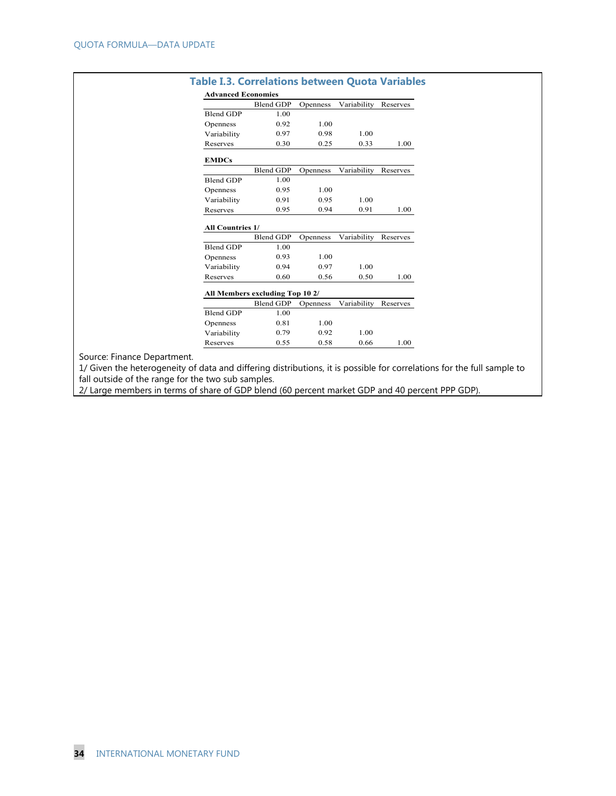| <b>Advanced Economies</b> |                                 |          |             |          |  |  |  |  |
|---------------------------|---------------------------------|----------|-------------|----------|--|--|--|--|
|                           | Blend GDP                       | Openness | Variability | Reserves |  |  |  |  |
| <b>Blend GDP</b>          | 1.00                            |          |             |          |  |  |  |  |
| Openness                  | 0.92                            | 1.00     |             |          |  |  |  |  |
| Variability               | 0.97                            | 0.98     | 1.00        |          |  |  |  |  |
| Reserves                  | 0.30                            | 0.25     | 0.33        | 1.00     |  |  |  |  |
| <b>EMDCs</b>              |                                 |          |             |          |  |  |  |  |
|                           | Blend GDP                       | Openness | Variability | Reserves |  |  |  |  |
| <b>Blend GDP</b>          | 1.00                            |          |             |          |  |  |  |  |
| Openness                  | 0.95                            | 1.00     |             |          |  |  |  |  |
| Variability               | 0.91                            | 0.95     | 1.00        |          |  |  |  |  |
| Reserves                  | 0.95                            | 0.94     | 0.91        | 1.00     |  |  |  |  |
| All Countries 1/          |                                 |          |             |          |  |  |  |  |
|                           | <b>Blend GDP</b>                | Openness | Variability | Reserves |  |  |  |  |
| <b>Blend GDP</b>          | 1.00                            |          |             |          |  |  |  |  |
| Openness                  | 0.93                            | 1.00     |             |          |  |  |  |  |
| Variability               | 0.94                            | 0.97     | 1.00        |          |  |  |  |  |
| Reserves                  | 0.60                            | 0.56     | 0.50        | 1.00     |  |  |  |  |
|                           | All Members excluding Top 10 2/ |          |             |          |  |  |  |  |
|                           | <b>Blend GDP</b>                | Openness | Variability | Reserves |  |  |  |  |
| Blend GDP                 | 1.00                            |          |             |          |  |  |  |  |
| Openness                  | 0.81                            | 1.00     |             |          |  |  |  |  |
| Variability               | 0.79                            | 0.92     | 1.00        |          |  |  |  |  |
| Reserves                  | 0.55                            | 0.58     | 0.66        | 1.00     |  |  |  |  |

Source: Finance

1/ Given the heterogeneity of data and differing distributions, it is possible for correlations for the full sample to fall outside of the range for the two sub samples.

2/ Large members in terms of share of GDP blend (60 percent market GDP and 40 percent PPP GDP).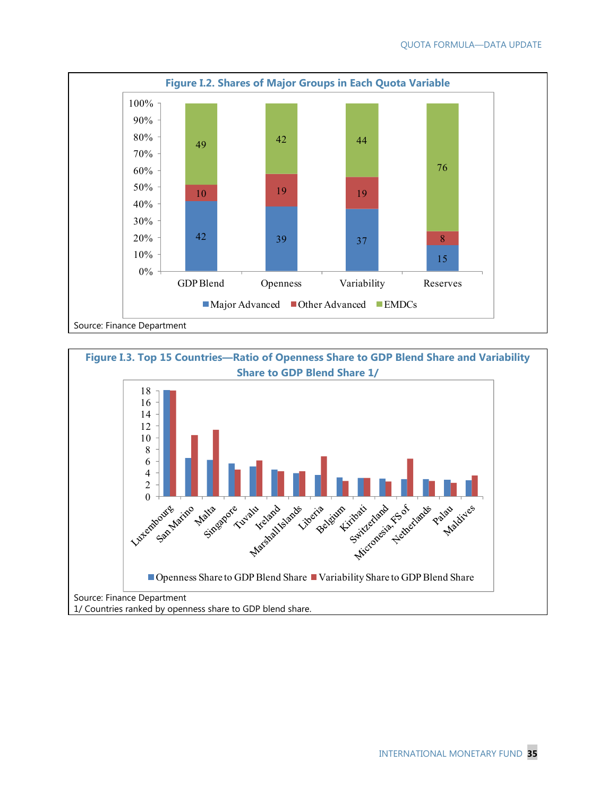

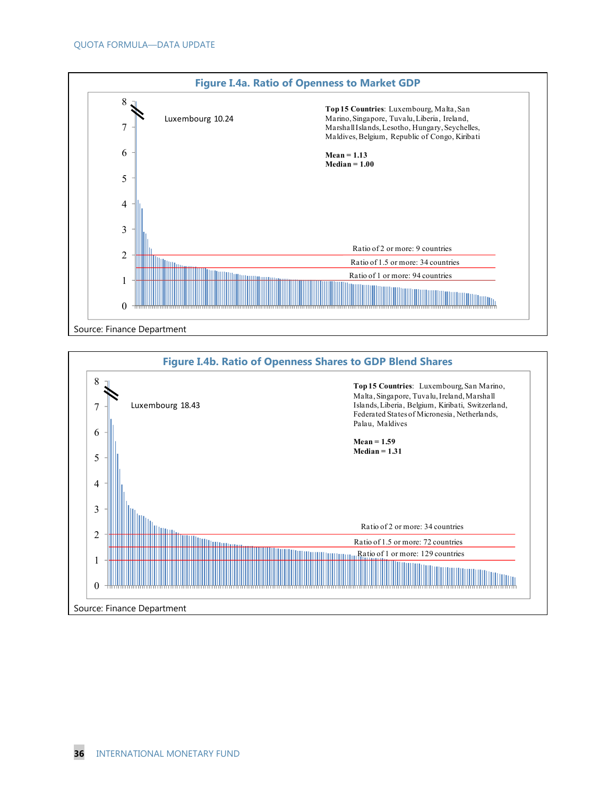

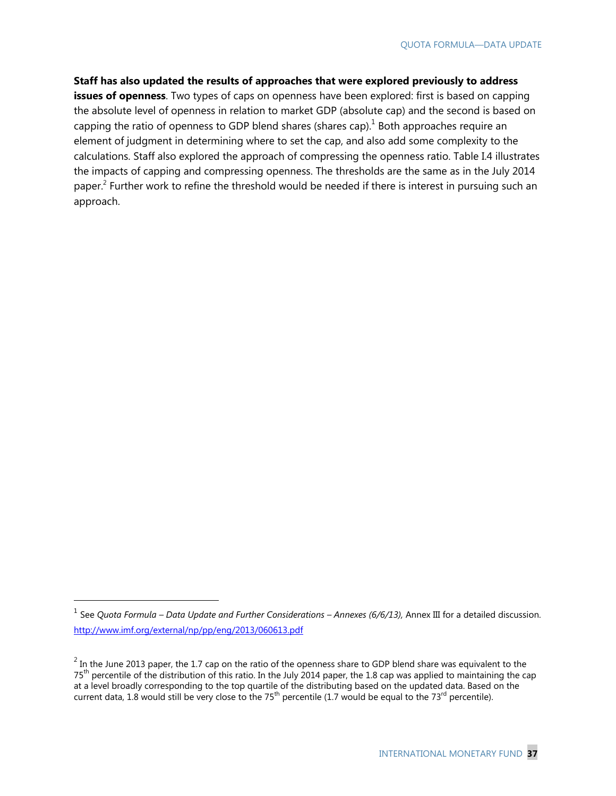#### **Staff has also updated the results of approaches that were explored previously to address**

**issues of openness**. Two types of caps on openness have been explored: first is based on capping the absolute level of openness in relation to market GDP (absolute cap) and the second is based on capping the ratio of openness to GDP blend shares (shares cap). $<sup>1</sup>$  Both approaches require an</sup> element of judgment in determining where to set the cap, and also add some complexity to the calculations. Staff also explored the approach of compressing the openness ratio. Table I.4 illustrates the impacts of capping and compressing openness. The thresholds are the same as in the July 2014 paper.<sup>2</sup> Further work to refine the threshold would be needed if there is interest in pursuing such an approach.

<sup>1</sup> See *Quota Formula – Data Update and Further Considerations – Annexes (6/6/13),* Annex III for a detailed discussion. http://www.imf.org/external/np/pp/eng/2013/060613.pdf

 $^2$  In the June 2013 paper, the 1.7 cap on the ratio of the openness share to GDP blend share was equivalent to the 75<sup>th</sup> percentile of the distribution of this ratio. In the July 2014 paper, the 1.8 cap was applied to maintaining the cap at a level broadly corresponding to the top quartile of the distributing based on the updated data. Based on the current data, 1.8 would still be very close to the 75<sup>th</sup> percentile (1.7 would be equal to the 73<sup>rd</sup> percentile).